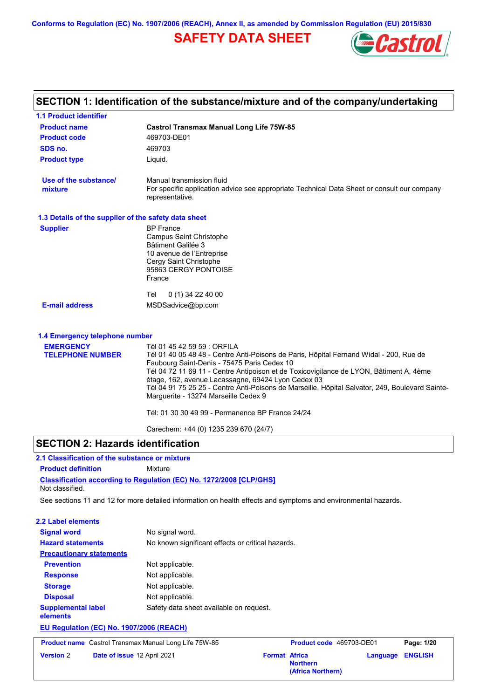# **SAFETY DATA SHEET**



# **SECTION 1: Identification of the substance/mixture and of the company/undertaking**

| <b>1.1 Product identifier</b>                        |                                                                                                                                                                                                                                                                                                                                                                                                                                                                                                                     |
|------------------------------------------------------|---------------------------------------------------------------------------------------------------------------------------------------------------------------------------------------------------------------------------------------------------------------------------------------------------------------------------------------------------------------------------------------------------------------------------------------------------------------------------------------------------------------------|
| <b>Product name</b>                                  | <b>Castrol Transmax Manual Long Life 75W-85</b>                                                                                                                                                                                                                                                                                                                                                                                                                                                                     |
| <b>Product code</b>                                  | 469703-DE01                                                                                                                                                                                                                                                                                                                                                                                                                                                                                                         |
| SDS no.                                              | 469703                                                                                                                                                                                                                                                                                                                                                                                                                                                                                                              |
| <b>Product type</b>                                  | Liquid.                                                                                                                                                                                                                                                                                                                                                                                                                                                                                                             |
| Use of the substance/<br>mixture                     | Manual transmission fluid<br>For specific application advice see appropriate Technical Data Sheet or consult our company<br>representative.                                                                                                                                                                                                                                                                                                                                                                         |
| 1.3 Details of the supplier of the safety data sheet |                                                                                                                                                                                                                                                                                                                                                                                                                                                                                                                     |
| <b>Supplier</b>                                      | <b>BP</b> France<br>Campus Saint Christophe<br>Bâtiment Galilée 3<br>10 avenue de l'Entreprise<br>Cergy Saint Christophe<br>95863 CERGY PONTOISE<br>France                                                                                                                                                                                                                                                                                                                                                          |
|                                                      | Tel<br>$0(1)$ 34 22 40 00                                                                                                                                                                                                                                                                                                                                                                                                                                                                                           |
| <b>E-mail address</b>                                | MSDSadvice@bp.com                                                                                                                                                                                                                                                                                                                                                                                                                                                                                                   |
| 1.4 Emergency telephone number                       |                                                                                                                                                                                                                                                                                                                                                                                                                                                                                                                     |
| <b>EMERGENCY</b><br><b>TELEPHONE NUMBER</b>          | Tél 01 45 42 59 59 : ORFILA<br>Tél 01 40 05 48 48 - Centre Anti-Poisons de Paris, Hôpital Fernand Widal - 200, Rue de<br>Faubourg Saint-Denis - 75475 Paris Cedex 10<br>Tél 04 72 11 69 11 - Centre Antipoison et de Toxicovigilance de LYON, Bâtiment A, 4ème<br>étage, 162, avenue Lacassagne, 69424 Lyon Cedex 03<br>Tél 04 91 75 25 25 - Centre Anti-Poisons de Marseille, Hôpital Salvator, 249, Boulevard Sainte-<br>Marguerite - 13274 Marseille Cedex 9<br>Tél: 01 30 30 49 99 - Permanence BP France 24/24 |

Carechem: +44 (0) 1235 239 670 (24/7)

## **SECTION 2: Hazards identification**

#### **Classification according to Regulation (EC) No. 1272/2008 [CLP/GHS] 2.1 Classification of the substance or mixture Product definition** Mixture Not classified.

See sections 11 and 12 for more detailed information on health effects and symptoms and environmental hazards.

| <b>Version 2</b>                         | Date of issue 12 April 2021                                  | <b>Format Africa</b> | <b>Northern</b>          | Language | <b>ENGLISH</b> |
|------------------------------------------|--------------------------------------------------------------|----------------------|--------------------------|----------|----------------|
|                                          | <b>Product name</b> Castrol Transmax Manual Long Life 75W-85 |                      | Product code 469703-DE01 |          | Page: 1/20     |
| EU Regulation (EC) No. 1907/2006 (REACH) |                                                              |                      |                          |          |                |
| <b>Supplemental label</b><br>elements    | Safety data sheet available on request.                      |                      |                          |          |                |
| <b>Disposal</b>                          | Not applicable.                                              |                      |                          |          |                |
| <b>Storage</b>                           | Not applicable.                                              |                      |                          |          |                |
| <b>Response</b>                          | Not applicable.                                              |                      |                          |          |                |
| <b>Prevention</b>                        | Not applicable.                                              |                      |                          |          |                |
| <b>Precautionary statements</b>          |                                                              |                      |                          |          |                |
| <b>Hazard statements</b>                 | No known significant effects or critical hazards.            |                      |                          |          |                |
| <b>Signal word</b>                       | No signal word.                                              |                      |                          |          |                |
| 2.2 Label elements                       |                                                              |                      |                          |          |                |

**(Africa Northern)**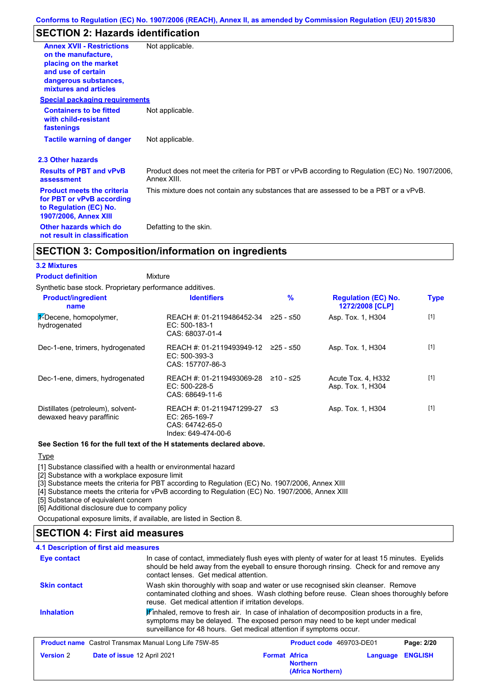# **SECTION 2: Hazards identification**

| <b>Annex XVII - Restrictions</b><br>on the manufacture.<br>placing on the market<br>and use of certain<br>dangerous substances,<br>mixtures and articles | Not applicable.                                                                                               |
|----------------------------------------------------------------------------------------------------------------------------------------------------------|---------------------------------------------------------------------------------------------------------------|
| <b>Special packaging requirements</b>                                                                                                                    |                                                                                                               |
| <b>Containers to be fitted</b><br>with child-resistant<br>fastenings                                                                                     | Not applicable.                                                                                               |
| <b>Tactile warning of danger</b>                                                                                                                         | Not applicable.                                                                                               |
| 2.3 Other hazards                                                                                                                                        |                                                                                                               |
| <b>Results of PBT and vPvB</b><br>assessment                                                                                                             | Product does not meet the criteria for PBT or vPvB according to Regulation (EC) No. 1907/2006,<br>Annex XIII. |
| <b>Product meets the criteria</b><br>for PBT or vPvB according<br>to Regulation (EC) No.<br><b>1907/2006, Annex XIII</b>                                 | This mixture does not contain any substances that are assessed to be a PBT or a vPvB.                         |
| Other hazards which do<br>not result in classification                                                                                                   | Defatting to the skin.                                                                                        |

## **SECTION 3: Composition/information on ingredients**

#### **3.2 Mixtures**

Mixture **Product definition**

Synthetic base stock. Proprietary performance additives.

| <b>Product/ingredient</b><br>name                             | <b>Identifiers</b>                                                                   | $\frac{9}{6}$ | <b>Regulation (EC) No.</b><br>1272/2008 [CLP] | <b>Type</b> |
|---------------------------------------------------------------|--------------------------------------------------------------------------------------|---------------|-----------------------------------------------|-------------|
| $\frac{1}{2}$ -Decene, homopolymer,<br>hydrogenated           | REACH #: 01-2119486452-34<br>EC: 500-183-1<br>CAS: 68037-01-4                        | ≥25 - ≤50     | Asp. Tox. 1, H304                             | $[1]$       |
| Dec-1-ene, trimers, hydrogenated                              | REACH #: 01-2119493949-12<br>EC: 500-393-3<br>CAS: 157707-86-3                       | 225 - ≤50     | Asp. Tox. 1, H304                             | $[1]$       |
| Dec-1-ene, dimers, hydrogenated                               | REACH #: 01-2119493069-28<br>$EC: 500-228-5$<br>CAS: 68649-11-6                      | ≥10 - ≤25     | Acute Tox. 4, H332<br>Asp. Tox. 1, H304       | $[1]$       |
| Distillates (petroleum), solvent-<br>dewaxed heavy paraffinic | REACH #: 01-2119471299-27<br>EC: 265-169-7<br>CAS: 64742-65-0<br>Index: 649-474-00-6 | - ≤3          | Asp. Tox. 1, H304                             | $[1]$       |

#### **See Section 16 for the full text of the H statements declared above.**

#### **Type**

[1] Substance classified with a health or environmental hazard

[2] Substance with a workplace exposure limit

[3] Substance meets the criteria for PBT according to Regulation (EC) No. 1907/2006, Annex XIII

[4] Substance meets the criteria for vPvB according to Regulation (EC) No. 1907/2006, Annex XIII

[5] Substance of equivalent concern

[6] Additional disclosure due to company policy

Occupational exposure limits, if available, are listed in Section 8.

## **SECTION 4: First aid measures**

#### **4.1 Description of first aid measures**

| Eye contact                                                  | In case of contact, immediately flush eyes with plenty of water for at least 15 minutes. Eyelids<br>should be held away from the eyeball to ensure thorough rinsing. Check for and remove any<br>contact lenses. Get medical attention.                       |                      |                                      |          |                |
|--------------------------------------------------------------|---------------------------------------------------------------------------------------------------------------------------------------------------------------------------------------------------------------------------------------------------------------|----------------------|--------------------------------------|----------|----------------|
| <b>Skin contact</b>                                          | Wash skin thoroughly with soap and water or use recognised skin cleanser. Remove<br>contaminated clothing and shoes. Wash clothing before reuse. Clean shoes thoroughly before<br>reuse. Get medical attention if irritation develops.                        |                      |                                      |          |                |
| <b>Inhalation</b>                                            | $\mathbf{F}$ inhaled, remove to fresh air. In case of inhalation of decomposition products in a fire,<br>symptoms may be delayed. The exposed person may need to be kept under medical<br>surveillance for 48 hours. Get medical attention if symptoms occur. |                      |                                      |          |                |
| <b>Product name</b> Castrol Transmax Manual Long Life 75W-85 |                                                                                                                                                                                                                                                               |                      | Product code 469703-DE01             |          | Page: 2/20     |
| <b>Version 2</b><br>Date of issue 12 April 2021              |                                                                                                                                                                                                                                                               | <b>Format Africa</b> | <b>Northern</b><br>(Africa Northern) | Language | <b>ENGLISH</b> |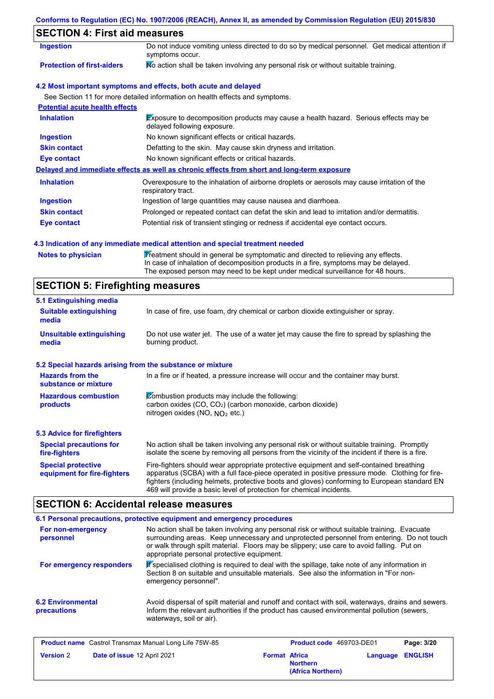# **SECTION 4: First aid measures**

| <b>Ingestion</b>                      | Do not induce vomiting unless directed to do so by medical personnel. Get medical attention if<br>symptoms occur.   |  |  |  |  |
|---------------------------------------|---------------------------------------------------------------------------------------------------------------------|--|--|--|--|
| <b>Protection of first-aiders</b>     | No action shall be taken involving any personal risk or without suitable training.                                  |  |  |  |  |
|                                       | 4.2 Most important symptoms and effects, both acute and delayed                                                     |  |  |  |  |
|                                       | See Section 11 for more detailed information on health effects and symptoms.                                        |  |  |  |  |
| <b>Potential acute health effects</b> |                                                                                                                     |  |  |  |  |
| <b>Inhalation</b>                     | Exposure to decomposition products may cause a health hazard. Serious effects may be<br>delayed following exposure. |  |  |  |  |
| <b>Ingestion</b>                      | No known significant effects or critical hazards.                                                                   |  |  |  |  |
| <b>Skin contact</b>                   | Defatting to the skin. May cause skin dryness and irritation.                                                       |  |  |  |  |
| Eye contact                           | No known significant effects or critical hazards.                                                                   |  |  |  |  |
|                                       | Delayed and immediate effects as well as chronic effects from short and long-term exposure                          |  |  |  |  |
| <b>Inhalation</b>                     | Overexposure to the inhalation of airborne droplets or aerosols may cause irritation of the<br>respiratory tract.   |  |  |  |  |
| <b>Ingestion</b>                      | Ingestion of large quantities may cause nausea and diarrhoea.                                                       |  |  |  |  |
| <b>Skin contact</b>                   | Prolonged or repeated contact can defat the skin and lead to irritation and/or dermatitis.                          |  |  |  |  |
| Eye contact                           | Potential risk of transient stinging or redness if accidental eye contact occurs.                                   |  |  |  |  |

#### **4.3 Indication of any immediate medical attention and special treatment needed**

Notes to physician **Treatment should in general be symptomatic and directed to relieving any effects.** In case of inhalation of decomposition products in a fire, symptoms may be delayed. The exposed person may need to be kept under medical surveillance for 48 hours.

## **SECTION 5: Firefighting measures**

| 5.1 Extinguishing media                                   |                                                                                                                                                                                                                                                                                                                                                                   |
|-----------------------------------------------------------|-------------------------------------------------------------------------------------------------------------------------------------------------------------------------------------------------------------------------------------------------------------------------------------------------------------------------------------------------------------------|
| <b>Suitable extinguishing</b><br>media                    | In case of fire, use foam, dry chemical or carbon dioxide extinguisher or spray.                                                                                                                                                                                                                                                                                  |
| <b>Unsuitable extinguishing</b><br>media                  | Do not use water jet. The use of a water jet may cause the fire to spread by splashing the<br>burning product.                                                                                                                                                                                                                                                    |
| 5.2 Special hazards arising from the substance or mixture |                                                                                                                                                                                                                                                                                                                                                                   |
| <b>Hazards from the</b><br>substance or mixture           | In a fire or if heated, a pressure increase will occur and the container may burst.                                                                                                                                                                                                                                                                               |
| <b>Hazardous combustion</b><br>products                   | Combustion products may include the following:<br>carbon oxides (CO, CO <sub>2</sub> ) (carbon monoxide, carbon dioxide)<br>nitrogen oxides (NO, $NO2$ etc.)                                                                                                                                                                                                      |
| 5.3 Advice for firefighters                               |                                                                                                                                                                                                                                                                                                                                                                   |
| <b>Special precautions for</b><br>fire-fighters           | No action shall be taken involving any personal risk or without suitable training. Promptly<br>isolate the scene by removing all persons from the vicinity of the incident if there is a fire.                                                                                                                                                                    |
| <b>Special protective</b><br>equipment for fire-fighters  | Fire-fighters should wear appropriate protective equipment and self-contained breathing<br>apparatus (SCBA) with a full face-piece operated in positive pressure mode. Clothing for fire-<br>fighters (including helmets, protective boots and gloves) conforming to European standard EN<br>469 will provide a basic level of protection for chemical incidents. |

## **SECTION 6: Accidental release measures**

| 6.1 Personal precautions, protective equipment and emergency procedures                                                                                                                                                                                                                                                                                                                                                                                                |                                                                                                                                                                                                                             |                      |                                 |          |                |
|------------------------------------------------------------------------------------------------------------------------------------------------------------------------------------------------------------------------------------------------------------------------------------------------------------------------------------------------------------------------------------------------------------------------------------------------------------------------|-----------------------------------------------------------------------------------------------------------------------------------------------------------------------------------------------------------------------------|----------------------|---------------------------------|----------|----------------|
| No action shall be taken involving any personal risk or without suitable training. Evacuate<br>For non-emergency<br>surrounding areas. Keep unnecessary and unprotected personnel from entering. Do not touch<br>personnel<br>or walk through spilt material. Floors may be slippery; use care to avoid falling. Put on<br>appropriate personal protective equipment.<br>K specialised clothing is required to deal with the spillage, take note of any information in |                                                                                                                                                                                                                             |                      |                                 |          |                |
| For emergency responders                                                                                                                                                                                                                                                                                                                                                                                                                                               | Section 8 on suitable and unsuitable materials. See also the information in "For non-<br>emergency personnel".                                                                                                              |                      |                                 |          |                |
| <b>6.2 Environmental</b><br>precautions                                                                                                                                                                                                                                                                                                                                                                                                                                | Avoid dispersal of spilt material and runoff and contact with soil, waterways, drains and sewers.<br>Inform the relevant authorities if the product has caused environmental pollution (sewers,<br>waterways, soil or air). |                      |                                 |          |                |
| <b>Product name</b> Castrol Transmax Manual Long Life 75W-85                                                                                                                                                                                                                                                                                                                                                                                                           |                                                                                                                                                                                                                             |                      | <b>Product code</b> 469703-DE01 |          | Page: 3/20     |
| <b>Version 2</b><br>Date of issue 12 April 2021                                                                                                                                                                                                                                                                                                                                                                                                                        |                                                                                                                                                                                                                             | <b>Format Africa</b> |                                 | Language | <b>ENGLISH</b> |

**Northern**

**(Africa Northern)**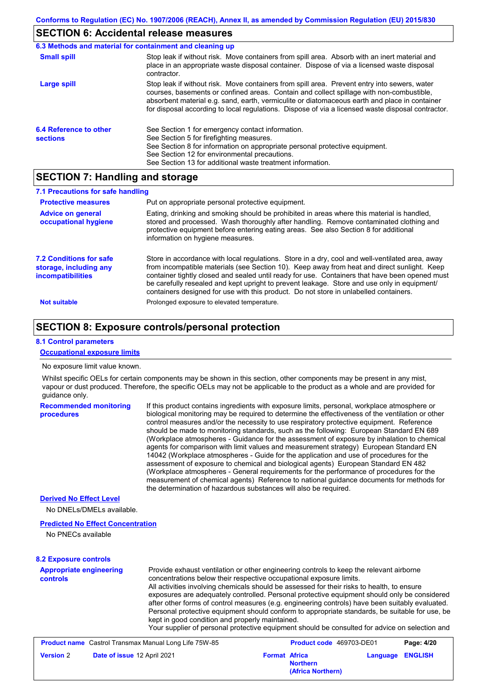## **SECTION 6: Accidental release measures**

| 6.3 Methods and material for containment and cleaning up |                                                                                                                                                                                                                                                                                                                                                                                                |
|----------------------------------------------------------|------------------------------------------------------------------------------------------------------------------------------------------------------------------------------------------------------------------------------------------------------------------------------------------------------------------------------------------------------------------------------------------------|
| <b>Small spill</b>                                       | Stop leak if without risk. Move containers from spill area. Absorb with an inert material and<br>place in an appropriate waste disposal container. Dispose of via a licensed waste disposal<br>contractor.                                                                                                                                                                                     |
| Large spill                                              | Stop leak if without risk. Move containers from spill area. Prevent entry into sewers, water<br>courses, basements or confined areas. Contain and collect spillage with non-combustible,<br>absorbent material e.g. sand, earth, vermiculite or diatomaceous earth and place in container<br>for disposal according to local regulations. Dispose of via a licensed waste disposal contractor. |
| 6.4 Reference to other<br><b>sections</b>                | See Section 1 for emergency contact information.<br>See Section 5 for firefighting measures.<br>See Section 8 for information on appropriate personal protective equipment.<br>See Section 12 for environmental precautions.<br>See Section 13 for additional waste treatment information.                                                                                                     |

## **SECTION 7: Handling and storage**

| 7.1 Precautions for safe handling                                                    |                                                                                                                                                                                                                                                                                                                                                                                                                                                                                          |
|--------------------------------------------------------------------------------------|------------------------------------------------------------------------------------------------------------------------------------------------------------------------------------------------------------------------------------------------------------------------------------------------------------------------------------------------------------------------------------------------------------------------------------------------------------------------------------------|
| <b>Protective measures</b>                                                           | Put on appropriate personal protective equipment.                                                                                                                                                                                                                                                                                                                                                                                                                                        |
| <b>Advice on general</b><br>occupational hygiene                                     | Eating, drinking and smoking should be prohibited in areas where this material is handled,<br>stored and processed. Wash thoroughly after handling. Remove contaminated clothing and<br>protective equipment before entering eating areas. See also Section 8 for additional<br>information on hygiene measures.                                                                                                                                                                         |
| <b>7.2 Conditions for safe</b><br>storage, including any<br><i>incompatibilities</i> | Store in accordance with local regulations. Store in a dry, cool and well-ventilated area, away<br>from incompatible materials (see Section 10). Keep away from heat and direct sunlight. Keep<br>container tightly closed and sealed until ready for use. Containers that have been opened must<br>be carefully resealed and kept upright to prevent leakage. Store and use only in equipment/<br>containers designed for use with this product. Do not store in unlabelled containers. |
| <b>Not suitable</b>                                                                  | Prolonged exposure to elevated temperature.                                                                                                                                                                                                                                                                                                                                                                                                                                              |

## **SECTION 8: Exposure controls/personal protection**

#### **8.1 Control parameters**

#### **Occupational exposure limits**

#### No exposure limit value known.

Whilst specific OELs for certain components may be shown in this section, other components may be present in any mist, vapour or dust produced. Therefore, the specific OELs may not be applicable to the product as a whole and are provided for guidance only.

**Recommended monitoring procedures** If this product contains ingredients with exposure limits, personal, workplace atmosphere or biological monitoring may be required to determine the effectiveness of the ventilation or other control measures and/or the necessity to use respiratory protective equipment. Reference should be made to monitoring standards, such as the following: European Standard EN 689 (Workplace atmospheres - Guidance for the assessment of exposure by inhalation to chemical agents for comparison with limit values and measurement strategy) European Standard EN 14042 (Workplace atmospheres - Guide for the application and use of procedures for the assessment of exposure to chemical and biological agents) European Standard EN 482 (Workplace atmospheres - General requirements for the performance of procedures for the measurement of chemical agents) Reference to national guidance documents for methods for the determination of hazardous substances will also be required.

#### **Derived No Effect Level**

No DNELs/DMELs available.

#### **Predicted No Effect Concentration**

No PNECs available

#### **8.2 Exposure controls**

| <b>Appropriate engineering</b><br><b>controls</b>            | concentrations below their respective occupational exposure limits.<br>kept in good condition and properly maintained. | Provide exhaust ventilation or other engineering controls to keep the relevant airborne<br>All activities involving chemicals should be assessed for their risks to health, to ensure<br>exposures are adequately controlled. Personal protective equipment should only be considered<br>after other forms of control measures (e.g. engineering controls) have been suitably evaluated.<br>Personal protective equipment should conform to appropriate standards, be suitable for use, be<br>Your supplier of personal protective equipment should be consulted for advice on selection and |            |
|--------------------------------------------------------------|------------------------------------------------------------------------------------------------------------------------|----------------------------------------------------------------------------------------------------------------------------------------------------------------------------------------------------------------------------------------------------------------------------------------------------------------------------------------------------------------------------------------------------------------------------------------------------------------------------------------------------------------------------------------------------------------------------------------------|------------|
| <b>Product name</b> Castrol Transmax Manual Long Life 75W-85 |                                                                                                                        | <b>Product code</b> 469703-DE01                                                                                                                                                                                                                                                                                                                                                                                                                                                                                                                                                              | Page: 4/20 |

|                  | <b>Product name</b> Castrol Transmax Manual Long Life 75W-85 |                      | <b>Product code</b> 469703-DE01      |                  | Page: 4/20 |
|------------------|--------------------------------------------------------------|----------------------|--------------------------------------|------------------|------------|
| <b>Version 2</b> | Date of issue 12 April 2021                                  | <b>Format Africa</b> | <b>Northern</b><br>(Africa Northern) | Language ENGLISH |            |
|                  |                                                              |                      |                                      |                  |            |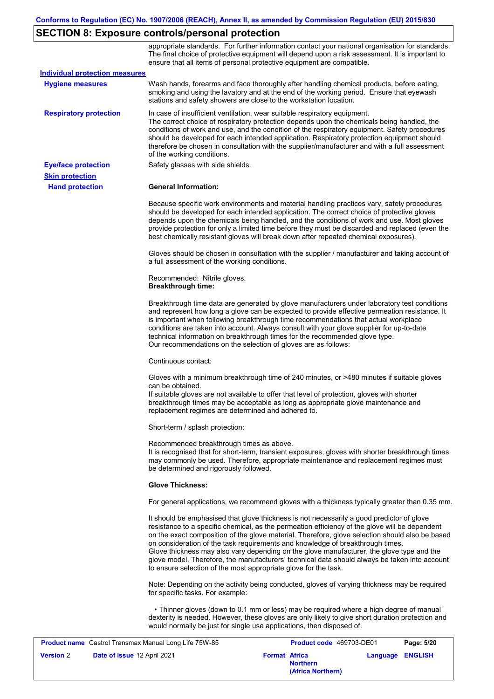# **SECTION 8: Exposure controls/personal protection**

|                                                       |                                                                                    | appropriate standards. For further information contact your national organisation for standards.<br>The final choice of protective equipment will depend upon a risk assessment. It is important to<br>ensure that all items of personal protective equipment are compatible.                                                                                                                                                                                                                                                                                                  |            |
|-------------------------------------------------------|------------------------------------------------------------------------------------|--------------------------------------------------------------------------------------------------------------------------------------------------------------------------------------------------------------------------------------------------------------------------------------------------------------------------------------------------------------------------------------------------------------------------------------------------------------------------------------------------------------------------------------------------------------------------------|------------|
| <b>Individual protection measures</b>                 |                                                                                    |                                                                                                                                                                                                                                                                                                                                                                                                                                                                                                                                                                                |            |
| <b>Hygiene measures</b>                               | stations and safety showers are close to the workstation location.                 | Wash hands, forearms and face thoroughly after handling chemical products, before eating,<br>smoking and using the lavatory and at the end of the working period. Ensure that eyewash                                                                                                                                                                                                                                                                                                                                                                                          |            |
| <b>Respiratory protection</b>                         | of the working conditions.                                                         | In case of insufficient ventilation, wear suitable respiratory equipment.<br>The correct choice of respiratory protection depends upon the chemicals being handled, the<br>conditions of work and use, and the condition of the respiratory equipment. Safety procedures<br>should be developed for each intended application. Respiratory protection equipment should<br>therefore be chosen in consultation with the supplier/manufacturer and with a full assessment                                                                                                        |            |
| <b>Eye/face protection</b>                            | Safety glasses with side shields.                                                  |                                                                                                                                                                                                                                                                                                                                                                                                                                                                                                                                                                                |            |
| <b>Skin protection</b>                                |                                                                                    |                                                                                                                                                                                                                                                                                                                                                                                                                                                                                                                                                                                |            |
| <b>Hand protection</b>                                | <b>General Information:</b>                                                        |                                                                                                                                                                                                                                                                                                                                                                                                                                                                                                                                                                                |            |
|                                                       |                                                                                    | Because specific work environments and material handling practices vary, safety procedures<br>should be developed for each intended application. The correct choice of protective gloves<br>depends upon the chemicals being handled, and the conditions of work and use. Most gloves<br>provide protection for only a limited time before they must be discarded and replaced (even the<br>best chemically resistant gloves will break down after repeated chemical exposures).                                                                                               |            |
|                                                       | a full assessment of the working conditions.                                       | Gloves should be chosen in consultation with the supplier / manufacturer and taking account of                                                                                                                                                                                                                                                                                                                                                                                                                                                                                 |            |
|                                                       | Recommended: Nitrile gloves.<br><b>Breakthrough time:</b>                          |                                                                                                                                                                                                                                                                                                                                                                                                                                                                                                                                                                                |            |
|                                                       | Our recommendations on the selection of gloves are as follows:                     | Breakthrough time data are generated by glove manufacturers under laboratory test conditions<br>and represent how long a glove can be expected to provide effective permeation resistance. It<br>is important when following breakthrough time recommendations that actual workplace<br>conditions are taken into account. Always consult with your glove supplier for up-to-date<br>technical information on breakthrough times for the recommended glove type.                                                                                                               |            |
|                                                       | Continuous contact:                                                                |                                                                                                                                                                                                                                                                                                                                                                                                                                                                                                                                                                                |            |
|                                                       | can be obtained.<br>replacement regimes are determined and adhered to.             | Gloves with a minimum breakthrough time of 240 minutes, or >480 minutes if suitable gloves<br>If suitable gloves are not available to offer that level of protection, gloves with shorter<br>breakthrough times may be acceptable as long as appropriate glove maintenance and                                                                                                                                                                                                                                                                                                 |            |
|                                                       | Short-term / splash protection:                                                    |                                                                                                                                                                                                                                                                                                                                                                                                                                                                                                                                                                                |            |
|                                                       | Recommended breakthrough times as above.<br>be determined and rigorously followed. | It is recognised that for short-term, transient exposures, gloves with shorter breakthrough times<br>may commonly be used. Therefore, appropriate maintenance and replacement regimes must                                                                                                                                                                                                                                                                                                                                                                                     |            |
|                                                       | <b>Glove Thickness:</b>                                                            |                                                                                                                                                                                                                                                                                                                                                                                                                                                                                                                                                                                |            |
|                                                       |                                                                                    | For general applications, we recommend gloves with a thickness typically greater than 0.35 mm.                                                                                                                                                                                                                                                                                                                                                                                                                                                                                 |            |
|                                                       | to ensure selection of the most appropriate glove for the task.                    | It should be emphasised that glove thickness is not necessarily a good predictor of glove<br>resistance to a specific chemical, as the permeation efficiency of the glove will be dependent<br>on the exact composition of the glove material. Therefore, glove selection should also be based<br>on consideration of the task requirements and knowledge of breakthrough times.<br>Glove thickness may also vary depending on the glove manufacturer, the glove type and the<br>glove model. Therefore, the manufacturers' technical data should always be taken into account |            |
|                                                       | for specific tasks. For example:                                                   | Note: Depending on the activity being conducted, gloves of varying thickness may be required                                                                                                                                                                                                                                                                                                                                                                                                                                                                                   |            |
|                                                       |                                                                                    | • Thinner gloves (down to 0.1 mm or less) may be required where a high degree of manual<br>dexterity is needed. However, these gloves are only likely to give short duration protection and<br>would normally be just for single use applications, then disposed of.                                                                                                                                                                                                                                                                                                           |            |
| Product name Castrol Transmax Manual Long Life 75W-85 |                                                                                    | Product code 469703-DE01                                                                                                                                                                                                                                                                                                                                                                                                                                                                                                                                                       | Page: 5/20 |

| <b>Product name</b> Castrol Transmax Manual Long Life 75W-85 |                      | <b>Product code</b> 469703-DE01      |                  | Page: 5/20 |
|--------------------------------------------------------------|----------------------|--------------------------------------|------------------|------------|
| <b>Version 2</b><br><b>Date of issue 12 April 2021</b>       | <b>Format Africa</b> | <b>Northern</b><br>(Africa Northern) | Language ENGLISH |            |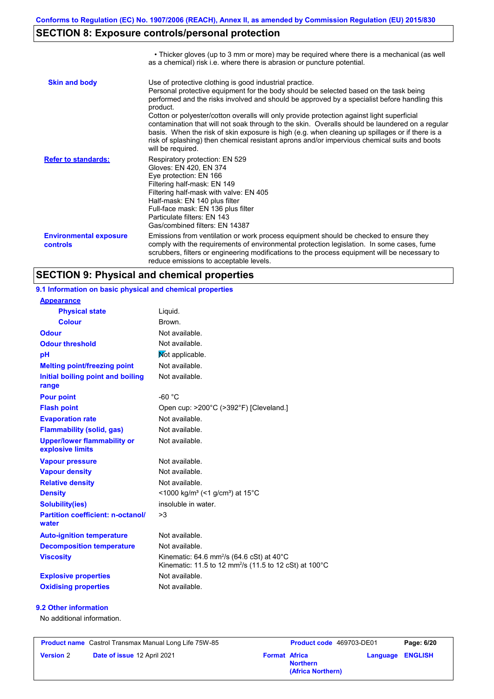# **SECTION 8: Exposure controls/personal protection**

|                                           | • Thicker gloves (up to 3 mm or more) may be required where there is a mechanical (as well<br>as a chemical) risk i.e. where there is abrasion or puncture potential.                                                                                                                                                                                                                                                                                                                                                                                                                                                                                                                 |
|-------------------------------------------|---------------------------------------------------------------------------------------------------------------------------------------------------------------------------------------------------------------------------------------------------------------------------------------------------------------------------------------------------------------------------------------------------------------------------------------------------------------------------------------------------------------------------------------------------------------------------------------------------------------------------------------------------------------------------------------|
| <b>Skin and body</b>                      | Use of protective clothing is good industrial practice.<br>Personal protective equipment for the body should be selected based on the task being<br>performed and the risks involved and should be approved by a specialist before handling this<br>product.<br>Cotton or polyester/cotton overalls will only provide protection against light superficial<br>contamination that will not soak through to the skin. Overalls should be laundered on a regular<br>basis. When the risk of skin exposure is high (e.g. when cleaning up spillages or if there is a<br>risk of splashing) then chemical resistant aprons and/or impervious chemical suits and boots<br>will be required. |
| <b>Refer to standards:</b>                | Respiratory protection: EN 529<br>Gloves: EN 420, EN 374<br>Eye protection: EN 166<br>Filtering half-mask: EN 149<br>Filtering half-mask with valve: EN 405<br>Half-mask: EN 140 plus filter<br>Full-face mask: EN 136 plus filter<br>Particulate filters: EN 143<br>Gas/combined filters: EN 14387                                                                                                                                                                                                                                                                                                                                                                                   |
| <b>Environmental exposure</b><br>controls | Emissions from ventilation or work process equipment should be checked to ensure they<br>comply with the requirements of environmental protection legislation. In some cases, fume<br>scrubbers, filters or engineering modifications to the process equipment will be necessary to<br>reduce emissions to acceptable levels.                                                                                                                                                                                                                                                                                                                                                         |

## **SECTION 9: Physical and chemical properties**

**9.1 Information on basic physical and chemical properties**

| <b>Appearance</b>                                      |                                                                                                                                       |
|--------------------------------------------------------|---------------------------------------------------------------------------------------------------------------------------------------|
| <b>Physical state</b>                                  | Liquid.                                                                                                                               |
| <b>Colour</b>                                          | Brown.                                                                                                                                |
| <b>Odour</b>                                           | Not available.                                                                                                                        |
| <b>Odour threshold</b>                                 | Not available.                                                                                                                        |
| pH                                                     | Mot applicable.                                                                                                                       |
| <b>Melting point/freezing point</b>                    | Not available.                                                                                                                        |
| Initial boiling point and boiling<br>range             | Not available.                                                                                                                        |
| <b>Pour point</b>                                      | -60 $^{\circ}$ C                                                                                                                      |
| <b>Flash point</b>                                     | Open cup: >200°C (>392°F) [Cleveland.]                                                                                                |
| <b>Evaporation rate</b>                                | Not available.                                                                                                                        |
| <b>Flammability (solid, gas)</b>                       | Not available.                                                                                                                        |
| <b>Upper/lower flammability or</b><br>explosive limits | Not available.                                                                                                                        |
| <b>Vapour pressure</b>                                 | Not available.                                                                                                                        |
| <b>Vapour density</b>                                  | Not available.                                                                                                                        |
| <b>Relative density</b>                                | Not available.                                                                                                                        |
| <b>Density</b>                                         | <1000 kg/m <sup>3</sup> (<1 g/cm <sup>3</sup> ) at 15 <sup>°</sup> C                                                                  |
| <b>Solubility(ies)</b>                                 | insoluble in water.                                                                                                                   |
| <b>Partition coefficient: n-octanol/</b><br>water      | >3                                                                                                                                    |
| <b>Auto-ignition temperature</b>                       | Not available.                                                                                                                        |
| <b>Decomposition temperature</b>                       | Not available.                                                                                                                        |
| <b>Viscosity</b>                                       | Kinematic: 64.6 mm <sup>2</sup> /s (64.6 cSt) at $40^{\circ}$ C<br>Kinematic: 11.5 to 12 mm <sup>2</sup> /s (11.5 to 12 cSt) at 100°C |
| <b>Explosive properties</b>                            | Not available.                                                                                                                        |
| <b>Oxidising properties</b>                            | Not available.                                                                                                                        |

No additional information.

**Product name** Castrol Transmax Manual Long Life 75W-85 **Product code** 469703-DE01 **Page: 6/20 Version** 2 **Date of issue** 12 April 2021 **Format** Africa

**Northern Language ENGLISH (Africa Northern)**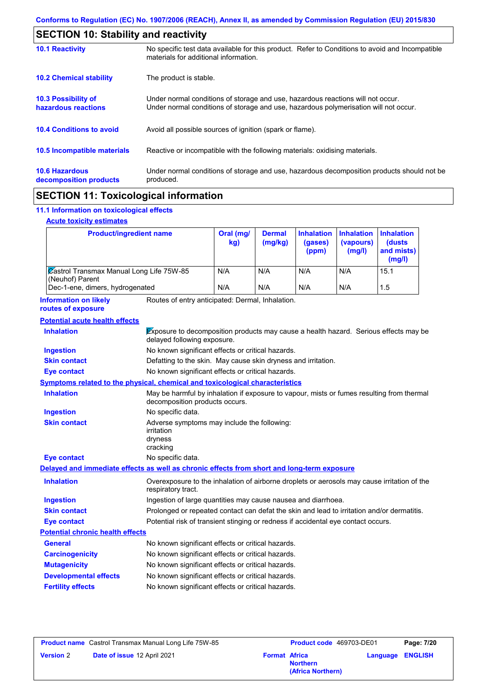| <b>SECTION 10: Stability and reactivity</b>       |                                                                                                                                                                         |
|---------------------------------------------------|-------------------------------------------------------------------------------------------------------------------------------------------------------------------------|
| <b>10.1 Reactivity</b>                            | No specific test data available for this product. Refer to Conditions to avoid and Incompatible<br>materials for additional information.                                |
| <b>10.2 Chemical stability</b>                    | The product is stable.                                                                                                                                                  |
| <b>10.3 Possibility of</b><br>hazardous reactions | Under normal conditions of storage and use, hazardous reactions will not occur.<br>Under normal conditions of storage and use, hazardous polymerisation will not occur. |
| <b>10.4 Conditions to avoid</b>                   | Avoid all possible sources of ignition (spark or flame).                                                                                                                |
| 10.5 Incompatible materials                       | Reactive or incompatible with the following materials: oxidising materials.                                                                                             |
| <b>10.6 Hazardous</b><br>decomposition products   | Under normal conditions of storage and use, hazardous decomposition products should not be<br>produced.                                                                 |
| --------- <i>--</i> -------------                 |                                                                                                                                                                         |

## **SECTION 11: Toxicological information**

#### **11.1 Information on toxicological effects**

#### **Acute toxicity estimates**

| <b>Product/ingredient name</b>                                     | Oral (mg/<br>kg) | <b>Dermal</b><br>(mg/kg) | <b>Inhalation</b><br>(gases)<br>(ppm) | <b>Inhalation</b><br>(vapours)<br>(mg/l) | <b>Inhalation</b><br>(dusts)<br>and mists)<br>(mg/l) |
|--------------------------------------------------------------------|------------------|--------------------------|---------------------------------------|------------------------------------------|------------------------------------------------------|
| <b>Zastrol Transmax Manual Long Life 75W-85</b><br>(Neuhof) Parent | N/A              | N/A                      | N/A                                   | N/A                                      | 15.1                                                 |
| Dec-1-ene, dimers, hydrogenated                                    | N/A              | N/A                      | N/A                                   | N/A                                      | 1.5                                                  |

Routes of entry anticipated: Dermal, Inhalation. **Information on likely routes of exposure**

| Exposure to decomposition products may cause a health hazard. Serious effects may be<br>delayed following exposure.         |
|-----------------------------------------------------------------------------------------------------------------------------|
| No known significant effects or critical hazards.                                                                           |
| Defatting to the skin. May cause skin dryness and irritation.                                                               |
| No known significant effects or critical hazards.                                                                           |
| Symptoms related to the physical, chemical and toxicological characteristics                                                |
| May be harmful by inhalation if exposure to vapour, mists or fumes resulting from thermal<br>decomposition products occurs. |
| No specific data.                                                                                                           |
| Adverse symptoms may include the following:<br>irritation<br>dryness<br>cracking                                            |
| No specific data.                                                                                                           |
| Delayed and immediate effects as well as chronic effects from short and long-term exposure                                  |
| Overexposure to the inhalation of airborne droplets or aerosols may cause irritation of the<br>respiratory tract.           |
| Ingestion of large quantities may cause nausea and diarrhoea.                                                               |
| Prolonged or repeated contact can defat the skin and lead to irritation and/or dermatitis.                                  |
| Potential risk of transient stinging or redness if accidental eye contact occurs.                                           |
| <b>Potential chronic health effects</b>                                                                                     |
| No known significant effects or critical hazards.                                                                           |
| No known significant effects or critical hazards.                                                                           |
| No known significant effects or critical hazards.                                                                           |
| No known significant effects or critical hazards.                                                                           |
| No known significant effects or critical hazards.                                                                           |
|                                                                                                                             |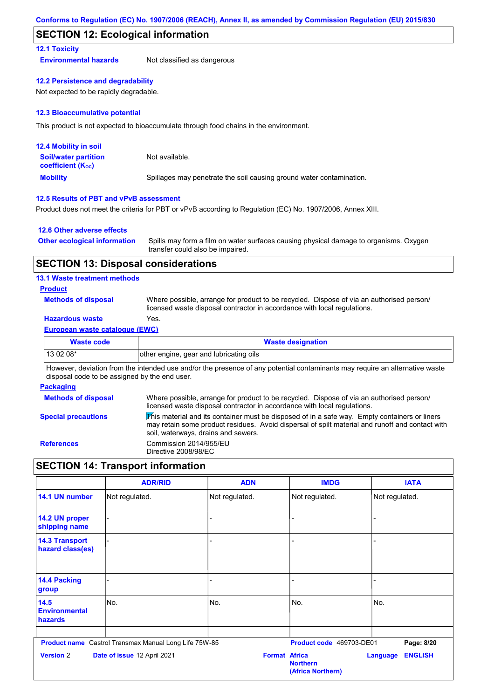## **SECTION 12: Ecological information**

#### **12.1 Toxicity**

**Environmental hazards** Not classified as dangerous

#### **12.2 Persistence and degradability**

Not expected to be rapidly degradable.

#### **12.3 Bioaccumulative potential**

This product is not expected to bioaccumulate through food chains in the environment.

| <b>12.4 Mobility in soil</b>                                  |                                                                      |
|---------------------------------------------------------------|----------------------------------------------------------------------|
| <b>Soil/water partition</b><br>coefficient (K <sub>oc</sub> ) | Not available.                                                       |
| <b>Mobility</b>                                               | Spillages may penetrate the soil causing ground water contamination. |

#### **12.5 Results of PBT and vPvB assessment**

Product does not meet the criteria for PBT or vPvB according to Regulation (EC) No. 1907/2006, Annex XIII.

#### **12.6 Other adverse effects**

| <b>Other ecological information</b> | Spills may form a film on water surfaces causing physical damage to organisms. Oxygen |
|-------------------------------------|---------------------------------------------------------------------------------------|
|                                     | transfer could also be impaired.                                                      |

#### **SECTION 13: Disposal considerations**

#### **13.1 Waste treatment methods**

#### **Product**

**Methods of disposal**

Where possible, arrange for product to be recycled. Dispose of via an authorised person/ licensed waste disposal contractor in accordance with local regulations.

## **Hazardous waste** Yes.

#### **European waste catalogue (EWC)**

| <b>Waste code</b> | <b>Waste designation</b>                |
|-------------------|-----------------------------------------|
| 13 02 08*         | other engine, gear and lubricating oils |

However, deviation from the intended use and/or the presence of any potential contaminants may require an alternative waste disposal code to be assigned by the end user.

#### **Packaging**

| <b>Methods of disposal</b> | Where possible, arrange for product to be recycled. Dispose of via an authorised person/<br>licensed waste disposal contractor in accordance with local regulations.                                                                                        |
|----------------------------|-------------------------------------------------------------------------------------------------------------------------------------------------------------------------------------------------------------------------------------------------------------|
| <b>Special precautions</b> | $\overline{\text{This}}$ material and its container must be disposed of in a safe way. Empty containers or liners<br>may retain some product residues. Avoid dispersal of spilt material and runoff and contact with<br>soil, waterways, drains and sewers. |
| <b>References</b>          | Commission 2014/955/EU<br>Directive 2008/98/EC                                                                                                                                                                                                              |

## **SECTION 14: Transport information**

|                                           | <b>ADR/RID</b>                                               | <b>ADN</b>           | <b>IMDG</b>                          | <b>IATA</b>                |
|-------------------------------------------|--------------------------------------------------------------|----------------------|--------------------------------------|----------------------------|
| 14.1 UN number                            | Not regulated.                                               | Not regulated.       | Not regulated.                       | Not regulated.             |
| 14.2 UN proper<br>shipping name           |                                                              |                      |                                      |                            |
| <b>14.3 Transport</b><br>hazard class(es) |                                                              |                      |                                      |                            |
| <b>14.4 Packing</b><br>group              |                                                              |                      |                                      |                            |
| 14.5<br><b>Environmental</b><br>hazards   | No.                                                          | No.                  | No.                                  | No.                        |
|                                           | <b>Product name</b> Castrol Transmax Manual Long Life 75W-85 |                      | Product code 469703-DE01             | Page: 8/20                 |
| <b>Version 2</b>                          | Date of issue 12 April 2021                                  | <b>Format Africa</b> | <b>Northern</b><br>(Africa Northern) | <b>ENGLISH</b><br>Language |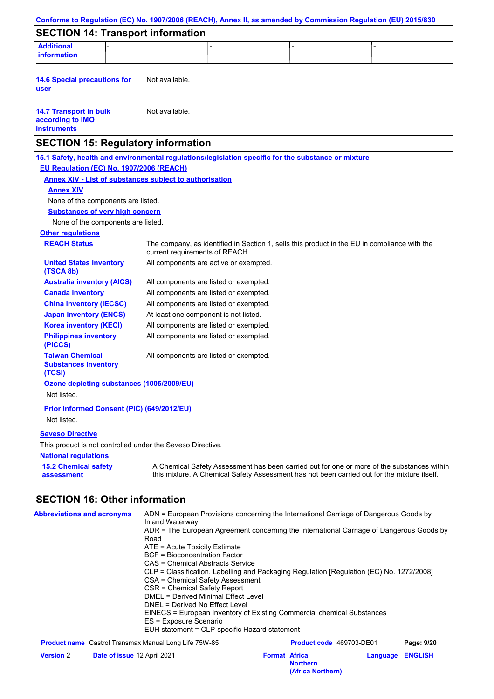| Conforms to Regulation (EC) No. 1907/2006 (REACH), Annex II, as amended by Commission Regulation (EU) 2015/830                                  |                                                                                                                                                                                                                                                                                          |                                                                        |                                                                                                                                                                                                                                                                               |                |
|-------------------------------------------------------------------------------------------------------------------------------------------------|------------------------------------------------------------------------------------------------------------------------------------------------------------------------------------------------------------------------------------------------------------------------------------------|------------------------------------------------------------------------|-------------------------------------------------------------------------------------------------------------------------------------------------------------------------------------------------------------------------------------------------------------------------------|----------------|
| <b>SECTION 14: Transport information</b>                                                                                                        |                                                                                                                                                                                                                                                                                          |                                                                        |                                                                                                                                                                                                                                                                               |                |
| <b>Additional</b><br>information                                                                                                                |                                                                                                                                                                                                                                                                                          |                                                                        |                                                                                                                                                                                                                                                                               |                |
| <b>14.6 Special precautions for</b><br>user                                                                                                     | Not available.                                                                                                                                                                                                                                                                           |                                                                        |                                                                                                                                                                                                                                                                               |                |
| <b>14.7 Transport in bulk</b><br>according to IMO<br><b>instruments</b>                                                                         | Not available.                                                                                                                                                                                                                                                                           |                                                                        |                                                                                                                                                                                                                                                                               |                |
| <b>SECTION 15: Regulatory information</b>                                                                                                       |                                                                                                                                                                                                                                                                                          |                                                                        |                                                                                                                                                                                                                                                                               |                |
| 15.1 Safety, health and environmental regulations/legislation specific for the substance or mixture<br>EU Regulation (EC) No. 1907/2006 (REACH) |                                                                                                                                                                                                                                                                                          |                                                                        |                                                                                                                                                                                                                                                                               |                |
| <b>Annex XIV - List of substances subject to authorisation</b>                                                                                  |                                                                                                                                                                                                                                                                                          |                                                                        |                                                                                                                                                                                                                                                                               |                |
| <b>Annex XIV</b>                                                                                                                                |                                                                                                                                                                                                                                                                                          |                                                                        |                                                                                                                                                                                                                                                                               |                |
| None of the components are listed.                                                                                                              |                                                                                                                                                                                                                                                                                          |                                                                        |                                                                                                                                                                                                                                                                               |                |
| <b>Substances of very high concern</b>                                                                                                          |                                                                                                                                                                                                                                                                                          |                                                                        |                                                                                                                                                                                                                                                                               |                |
| None of the components are listed.<br><b>Other regulations</b>                                                                                  |                                                                                                                                                                                                                                                                                          |                                                                        |                                                                                                                                                                                                                                                                               |                |
| <b>REACH Status</b>                                                                                                                             | current requirements of REACH.                                                                                                                                                                                                                                                           |                                                                        | The company, as identified in Section 1, sells this product in the EU in compliance with the                                                                                                                                                                                  |                |
| <b>United States inventory</b><br>(TSCA 8b)                                                                                                     | All components are active or exempted.                                                                                                                                                                                                                                                   |                                                                        |                                                                                                                                                                                                                                                                               |                |
| <b>Australia inventory (AICS)</b>                                                                                                               | All components are listed or exempted.                                                                                                                                                                                                                                                   |                                                                        |                                                                                                                                                                                                                                                                               |                |
| <b>Canada inventory</b>                                                                                                                         | All components are listed or exempted.                                                                                                                                                                                                                                                   |                                                                        |                                                                                                                                                                                                                                                                               |                |
| <b>China inventory (IECSC)</b>                                                                                                                  | All components are listed or exempted.                                                                                                                                                                                                                                                   |                                                                        |                                                                                                                                                                                                                                                                               |                |
| <b>Japan inventory (ENCS)</b>                                                                                                                   | At least one component is not listed.                                                                                                                                                                                                                                                    |                                                                        |                                                                                                                                                                                                                                                                               |                |
| <b>Korea inventory (KECI)</b>                                                                                                                   | All components are listed or exempted.                                                                                                                                                                                                                                                   |                                                                        |                                                                                                                                                                                                                                                                               |                |
| <b>Philippines inventory</b><br>(PICCS)                                                                                                         | All components are listed or exempted.                                                                                                                                                                                                                                                   |                                                                        |                                                                                                                                                                                                                                                                               |                |
| <b>Taiwan Chemical</b><br><b>Substances Inventory</b><br>(TCSI)                                                                                 | All components are listed or exempted.                                                                                                                                                                                                                                                   |                                                                        |                                                                                                                                                                                                                                                                               |                |
| Ozone depleting substances (1005/2009/EU)<br>Not listed.                                                                                        |                                                                                                                                                                                                                                                                                          |                                                                        |                                                                                                                                                                                                                                                                               |                |
| Prior Informed Consent (PIC) (649/2012/EU)<br>Not listed.                                                                                       |                                                                                                                                                                                                                                                                                          |                                                                        |                                                                                                                                                                                                                                                                               |                |
| <b>Seveso Directive</b>                                                                                                                         |                                                                                                                                                                                                                                                                                          |                                                                        |                                                                                                                                                                                                                                                                               |                |
| This product is not controlled under the Seveso Directive.                                                                                      |                                                                                                                                                                                                                                                                                          |                                                                        |                                                                                                                                                                                                                                                                               |                |
| <b>National regulations</b>                                                                                                                     |                                                                                                                                                                                                                                                                                          |                                                                        |                                                                                                                                                                                                                                                                               |                |
| <b>15.2 Chemical safety</b><br>assessment                                                                                                       |                                                                                                                                                                                                                                                                                          |                                                                        | A Chemical Safety Assessment has been carried out for one or more of the substances within<br>this mixture. A Chemical Safety Assessment has not been carried out for the mixture itself.                                                                                     |                |
| <b>SECTION 16: Other information</b>                                                                                                            |                                                                                                                                                                                                                                                                                          |                                                                        |                                                                                                                                                                                                                                                                               |                |
| <b>Abbreviations and acronyms</b>                                                                                                               | Inland Waterway<br>Road<br>ATE = Acute Toxicity Estimate<br><b>BCF</b> = Bioconcentration Factor<br>CAS = Chemical Abstracts Service<br>CSA = Chemical Safety Assessment<br>CSR = Chemical Safety Report<br><b>DMEL = Derived Minimal Effect Level</b><br>DNEL = Derived No Effect Level |                                                                        | ADN = European Provisions concerning the International Carriage of Dangerous Goods by<br>ADR = The European Agreement concerning the International Carriage of Dangerous Goods by<br>CLP = Classification, Labelling and Packaging Regulation [Regulation (EC) No. 1272/2008] |                |
|                                                                                                                                                 | ES = Exposure Scenario<br>EUH statement = CLP-specific Hazard statement                                                                                                                                                                                                                  | EINECS = European Inventory of Existing Commercial chemical Substances |                                                                                                                                                                                                                                                                               |                |
| <b>Product name</b> Castrol Transmax Manual Long Life 75W-85                                                                                    |                                                                                                                                                                                                                                                                                          |                                                                        | Product code 469703-DE01                                                                                                                                                                                                                                                      | Page: 9/20     |
| <b>Version 2</b><br>Date of issue 12 April 2021                                                                                                 |                                                                                                                                                                                                                                                                                          | <b>Format Africa</b><br><b>Northern</b><br>(Africa Northern)           | Language                                                                                                                                                                                                                                                                      | <b>ENGLISH</b> |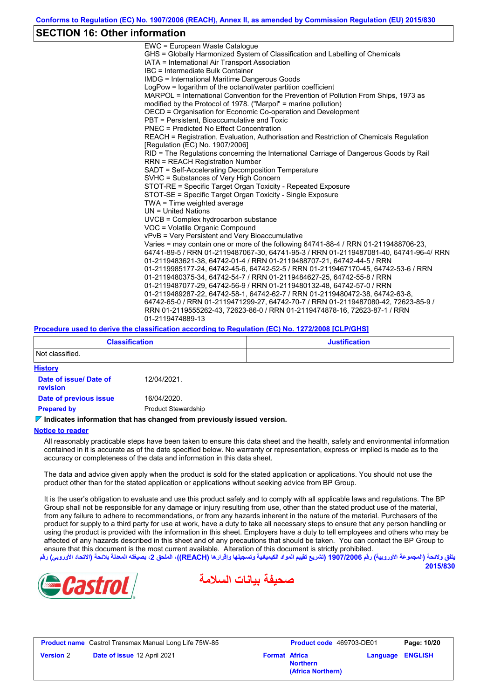## **SECTION 16: Other information**

| EWC = European Waste Catalogue                                                          |
|-----------------------------------------------------------------------------------------|
| GHS = Globally Harmonized System of Classification and Labelling of Chemicals           |
| IATA = International Air Transport Association                                          |
| IBC = Intermediate Bulk Container                                                       |
| <b>IMDG = International Maritime Dangerous Goods</b>                                    |
| LogPow = logarithm of the octanol/water partition coefficient                           |
| MARPOL = International Convention for the Prevention of Pollution From Ships, 1973 as   |
| modified by the Protocol of 1978. ("Marpol" = marine pollution)                         |
| OECD = Organisation for Economic Co-operation and Development                           |
| PBT = Persistent. Bioaccumulative and Toxic                                             |
| PNEC = Predicted No Effect Concentration                                                |
| REACH = Registration, Evaluation, Authorisation and Restriction of Chemicals Regulation |
| [Regulation (EC) No. 1907/2006]                                                         |
| RID = The Regulations concerning the International Carriage of Dangerous Goods by Rail  |
| <b>RRN = REACH Registration Number</b>                                                  |
| SADT = Self-Accelerating Decomposition Temperature                                      |
| SVHC = Substances of Very High Concern                                                  |
| STOT-RE = Specific Target Organ Toxicity - Repeated Exposure                            |
| STOT-SE = Specific Target Organ Toxicity - Single Exposure                              |
| TWA = Time weighted average                                                             |
| $UN = United Nations$                                                                   |
| UVCB = Complex hydrocarbon substance                                                    |
| VOC = Volatile Organic Compound                                                         |
| vPvB = Very Persistent and Very Bioaccumulative                                         |
| Varies = may contain one or more of the following 64741-88-4 / RRN 01-2119488706-23,    |
| 64741-89-5 / RRN 01-2119487067-30, 64741-95-3 / RRN 01-2119487081-40, 64741-96-4/ RRN   |
| 01-2119483621-38, 64742-01-4 / RRN 01-2119488707-21, 64742-44-5 / RRN                   |
| 01-2119985177-24, 64742-45-6, 64742-52-5 / RRN 01-2119467170-45, 64742-53-6 / RRN       |
| 01-2119480375-34, 64742-54-7 / RRN 01-2119484627-25, 64742-55-8 / RRN                   |
| 01-2119487077-29, 64742-56-9 / RRN 01-2119480132-48, 64742-57-0 / RRN                   |
| 01-2119489287-22, 64742-58-1, 64742-62-7 / RRN 01-2119480472-38, 64742-63-8,            |
| 64742-65-0 / RRN 01-2119471299-27, 64742-70-7 / RRN 01-2119487080-42, 72623-85-9 /      |
| RRN 01-2119555262-43, 72623-86-0 / RRN 01-2119474878-16, 72623-87-1 / RRN               |
| 01-2119474889-13                                                                        |
|                                                                                         |

#### **Procedure used to derive the classification according to Regulation (EC) No. 1272/2008 [CLP/GHS]**

| <b>Classification</b>              |                            | <b>Justification</b> |  |  |
|------------------------------------|----------------------------|----------------------|--|--|
| Not classified.                    |                            |                      |  |  |
| <b>History</b>                     |                            |                      |  |  |
| Date of issue/ Date of<br>revision | 12/04/2021.                |                      |  |  |
| Date of previous issue             | 16/04/2020.                |                      |  |  |
| <b>Prepared by</b>                 | <b>Product Stewardship</b> |                      |  |  |

#### **Indicates information that has changed from previously issued version.**

#### **Notice to reader**

All reasonably practicable steps have been taken to ensure this data sheet and the health, safety and environmental information contained in it is accurate as of the date specified below. No warranty or representation, express or implied is made as to the accuracy or completeness of the data and information in this data sheet.

The data and advice given apply when the product is sold for the stated application or applications. You should not use the product other than for the stated application or applications without seeking advice from BP Group.

It is the user's obligation to evaluate and use this product safely and to comply with all applicable laws and regulations. The BP Group shall not be responsible for any damage or injury resulting from use, other than the stated product use of the material, from any failure to adhere to recommendations, or from any hazards inherent in the nature of the material. Purchasers of the product for supply to a third party for use at work, have a duty to take all necessary steps to ensure that any person handling or using the product is provided with the information in this sheet. Employers have a duty to tell employees and others who may be affected of any hazards described in this sheet and of any precautions that should be taken. You can contact the BP Group to ensure that this document is the most current available. Alteration of this document is strictly prohibited. **یتفق ولائحة (المجموعة الأوروبیة) رقم 1907/2006 (تشریع تقییم المواد الكیمیائیة وتسجیلھا وإقرارھا (REACH((، الملحق ،2 بصیغتھ المعدلة بلائحة (الاتحاد الأوروبي) رقم**

**2015/830**





**Product name** Castrol Transmax Manual Long Life 75W-85 **Product code** 469703-DE01 **Page: 10/20 Version** 2 **Date of issue** 12 April 2021 **Format** Africa

**Northern (Africa Northern)** **Language ENGLISH**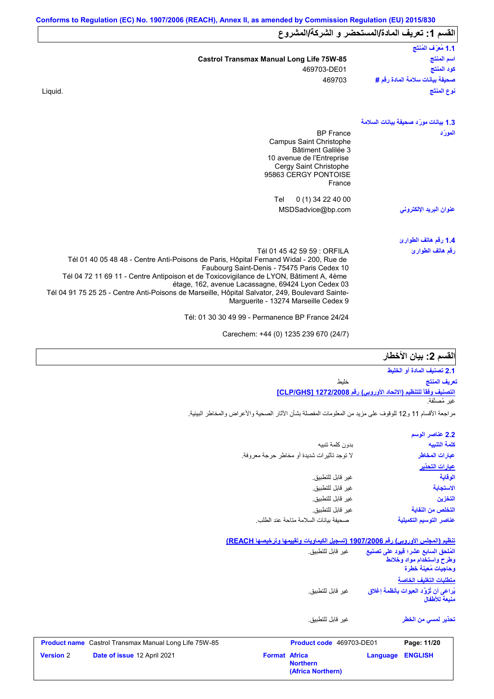|                                                                                                                                                                                                                                                                                                                                                                                                                                                                 | القسم 1: تعريف المادة/المستحضر و الشركة/المشروع |
|-----------------------------------------------------------------------------------------------------------------------------------------------------------------------------------------------------------------------------------------------------------------------------------------------------------------------------------------------------------------------------------------------------------------------------------------------------------------|-------------------------------------------------|
|                                                                                                                                                                                                                                                                                                                                                                                                                                                                 | 1.1 مُعرَّف المُنتَج                            |
| <b>Castrol Transmax Manual Long Life 75W-85</b>                                                                                                                                                                                                                                                                                                                                                                                                                 | اسم المنتج                                      |
| 469703-DE01                                                                                                                                                                                                                                                                                                                                                                                                                                                     | كود المنتج                                      |
| 469703                                                                                                                                                                                                                                                                                                                                                                                                                                                          | صحيفة بيانات سلامة المادة رقم #                 |
| Liquid.                                                                                                                                                                                                                                                                                                                                                                                                                                                         | نوع المنتَج                                     |
|                                                                                                                                                                                                                                                                                                                                                                                                                                                                 | 1.3 بيانات مورّد صحيفة بيانات السلامة           |
| <b>BP</b> France<br>Campus Saint Christophe<br><b>Bâtiment Galilée 3</b><br>10 avenue de l'Entreprise<br>Cergy Saint Christophe<br>95863 CERGY PONTOISE<br>France<br>0 (1) 34 22 40 00<br>Tel<br>MSDSadvice@bp.com                                                                                                                                                                                                                                              | المورّد<br>عنوان البريد الإلكترون <i>ى</i>      |
|                                                                                                                                                                                                                                                                                                                                                                                                                                                                 | 1.4 رقم هاتف الطوارئ                            |
| Tél 01 45 42 59 59 : ORFILA<br>Tél 01 40 05 48 48 - Centre Anti-Poisons de Paris, Hôpital Fernand Widal - 200, Rue de<br>Faubourg Saint-Denis - 75475 Paris Cedex 10<br>Tél 04 72 11 69 11 - Centre Antipoison et de Toxicovigilance de LYON, Bâtiment A, 4ème<br>étage, 162, avenue Lacassagne, 69424 Lyon Cedex 03<br>Tél 04 91 75 25 25 - Centre Anti-Poisons de Marseille, Hôpital Salvator, 249, Boulevard Sainte-<br>Marguerite - 13274 Marseille Cedex 9 | رقم هاتف الطوارئ                                |
| Tél: 01 30 30 49 99 - Permanence BP France 24/24                                                                                                                                                                                                                                                                                                                                                                                                                |                                                 |

Carechem: +44 (0) 1235 239 670 (24/7)

## الق*س*م **2:** بيا*ن* الأخطار

**التصنیف وفقاً للتنظیم (الاتحاد الأوروبي) رقم 1272/2008 [GHS/CLP[ 2.1 تصنیف المادة أو الخلیط** خلیط غیر مُصنَّفة. **تعریف المنتج**

مراجعة الأقسام 11 و12 للوقوف على مزید من المعلومات المفصلة بشأن الآثار الصحیة والأعراض والمخاطر البیئیة.

| 2.2 عناصر الوسم         |
|-------------------------|
| كلمة التنبيه            |
| عبارات المخاطر          |
| <u>عبارات التحذير</u>   |
| الوقاية                 |
| الاستجابة               |
| التخزين                 |
| التخلص من النفاية       |
| عناصر التوسيم التكميلية |
|                         |

#### **تنظیم (المجلس الأوروبي) رقم 1907/2006 (تسجیل الكیماویات وتقییمھا وترخیصھا REACH(**

**(Africa Northern)**

| <b>Version 2</b> | Date of issue 12 April 2021                                  | <b>Format Africa</b> | <b>Northern</b>          | Language | <b>ENGLISH</b>                                                                         |
|------------------|--------------------------------------------------------------|----------------------|--------------------------|----------|----------------------------------------------------------------------------------------|
|                  | <b>Product name</b> Castrol Transmax Manual Long Life 75W-85 |                      | Product code 469703-DE01 |          | Page: 11/20                                                                            |
|                  |                                                              |                      | غبر قابل للتطبيق.        |          | تحذير لم <i>سى</i> من الخطر                                                            |
|                  |                                                              |                      | غير  قابل للتطبيق.       |          | يُراعى أن تُزوَّد العبوات بأنظمة إغلاق<br>منبعة للأطفال                                |
|                  |                                                              |                      |                          |          | متطلبات التغليف الخاصة                                                                 |
|                  |                                                              |                      | غير  قابل للتطبيق.       |          | المُلحق السابع عشر؛ فيود على تصنيع<br>وطرح واستخدام مواد وخلائط<br>وحاجيات مُعينة خطرة |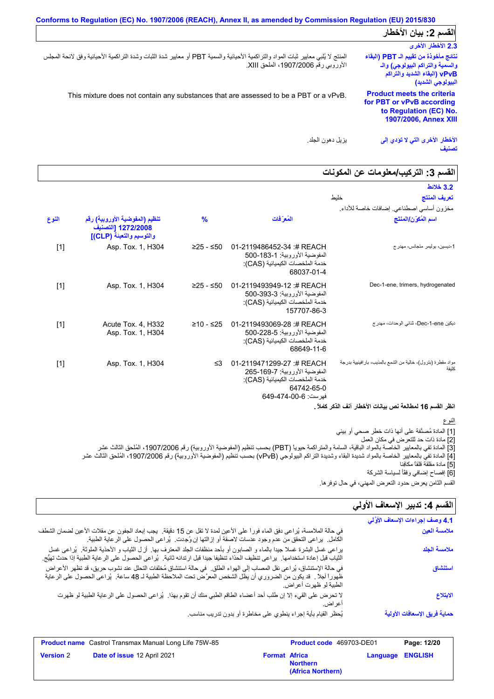| Conforms to Regulation (EC) No. 1907/2006 (REACH), Annex II, as amended by Commission Regulation (EU) 2015/830                                                             |                                                                                                                                |  |
|----------------------------------------------------------------------------------------------------------------------------------------------------------------------------|--------------------------------------------------------------------------------------------------------------------------------|--|
|                                                                                                                                                                            | القسم 2: بيان الأخطار                                                                                                          |  |
|                                                                                                                                                                            | 2.3 الأخطار الأخرى                                                                                                             |  |
| المنتج لا يُلبي معايير ثبات المواد والتراكمية الأحيائية والسمية PBT أو معايير شدة الثبات وشدة التراكمية الأحيائية وفق لائحة المجلس<br>الأوروبي رقم 1907/2006، الملحق XIII. | نتائج مأخوذة من تقييم الـ PBT (البقاء<br>والسمية والتراكم البيولوجي) والـ<br>vPvB (البقاء الشديد والتراكم<br>البيولوجي الشديد) |  |
| This mixture does not contain any substances that are assessed to be a PBT or a vPvB.                                                                                      | <b>Product meets the criteria</b><br>for PBT or vPvB according<br>to Regulation (EC) No.<br>1907/2006, Annex XIII              |  |
| بز بل دهون الجلد.                                                                                                                                                          | الأخطار الأخرى التي لا تؤدي إلى<br>تصنيف                                                                                       |  |

## **القسم :3 التركیب/معلومات عن المكونات**

| المُعرَفات                                                                                                                       | $\frac{9}{6}$ | تنظيم (المفوضية الأوروبية) رقم<br>1272/2008 [التصنيف<br>والتوسيم والتعبئة (CLP)] | النوع |
|----------------------------------------------------------------------------------------------------------------------------------|---------------|----------------------------------------------------------------------------------|-------|
| 01-2119486452-34 # REACH<br>المفوضية الأوروبية: 1-183-500<br>خدمة الملخصات الكيميائية (CAS):<br>68037-01-4                       | $≥25 - ≤50$   | Asp. Tox. 1, H304                                                                | $[1]$ |
| 01-2119493949-12:# REACH<br>المفوضية الأوروبية: 3-393-500<br>خدمة الملخصات الكيميائية (CAS):<br>157707-86-3                      | $≥25 - ≤50$   | Asp. Tox. 1, H304                                                                | $[1]$ |
| 01-2119493069-28 :# REACH<br>المفوضية الأوروبية: 5-228-500<br>خدمة الملخصات الكيميائية (CAS):<br>68649-11-6                      | $≥10 - ≤25$   | Acute Tox. 4, H332<br>Asp. Tox. 1, H304                                          | $[1]$ |
| 01-2119471299-27:# REACH<br>المفوضية الأوروبية: 7-169-265<br>خدمة الملخصات الكيميائية (CAS):<br>64742-65-0<br>فهرست: 649-474-649 | ≤3            | Asp. Tox. 1, H304                                                                | $[1]$ |
|                                                                                                                                  | خلبط          |                                                                                  |       |

#### النوع

[1] المادة مُصنَّفة على أنھا ذات خطر صحي أو بیئي

[2] مادة ذات حد للتعرض في مكان العمل

[3] المادة تفي بالمعاییر الخاصة بالمواد الباقیة، السامة والمتراكمة حیویاً (PBT (بحسب تنظیم (المفوضیة الأوروبیة) رقم ،1907/2006 المُلحق الثالث عشر [4] المادة تفي بالمعاییر الخاصة بالمواد شدیدة البقاء وشدیدة التراكم البیولوجي (vPvB (بحسب تنظیم (المفوضیة الأوروبیة) رقم ،1907/2006 المُلحق الثالث عشر

[5] مادة مقلقة قلقاً مكافِئا

[6] إفصاح إضافي وفقًأ لسیاسة الشركة

# القسم **4:** تدبير الإسعاف الأول*ي*

| القسم الثامن يعرض حدود التعرض المهني، في حال توفر ها. |                                                                                                                                                                                                                                                                      |
|-------------------------------------------------------|----------------------------------------------------------------------------------------------------------------------------------------------------------------------------------------------------------------------------------------------------------------------|
| القسم 4: تدبير الإسعاف الأولي                         |                                                                                                                                                                                                                                                                      |
| 4.1 وصف إجراءات الإسعاف الأوَّلي                      |                                                                                                                                                                                                                                                                      |
| ملامسة العين                                          | في حالة الملامسة، يُراعي دفق الماء فوراً على الأعين لمدة لا تقل عن 15 دقيقة.  يجب إبعاد الجفون عن مقلات الأعين لضمان الشطف<br>الكامل.  براعي التحقق من عدم وجود عدسات لاصقة أو إزالتها إن وُجدت.  بُراعي الحصول على الرعاية الطبية.                                  |
| ملامسة الجلد                                          | يراعي غسل البشرة غسلا جيدًا بالماء و الصابون أو بأحد منظفات الجلد المعترف بها. أز ل الثياب و الأحذية الملوثة. يُراعى غسل<br>الثياب قبل إعادة استخدامها   يراعى تنظيف الحذاء تنظيفا جيدا قبل ارتدائه ثانية   يُراعى الحصول على الر عاية الطبية إذا حدث تهيَّج.        |
| استنشاق                                               | في حالة الإستنشاق، يُراعى نقل المصاب إلى الهواء الطلق ِ في حالة استنشاق مُخلفات التحلل عند نشوب حريق، قد تظهر الأعراض<br>ظهوراً أجلاً . قد يكون من الضروري أن يظل الشخص المعرَّض تحت الملاحظة الطبية لـ 48 ساعة.  يُراعى الحصول على الرعاية<br>الطبية لو ظهرت أعراض. |
| الابتلاع                                              | لا تحرض على القيء إلا إن طلب أحد أعضاء الطاقم الطبي منك أن تقوم بهذا   يُراعى الحصول على الرعاية الطبية لو ظهرت<br>اعراض.                                                                                                                                            |
| حماية فريق الإسعافات الأولية                          | يُحظر القيام بأية إجراء ينطوي على مخاطرة أو بدون تدريب مناسب                                                                                                                                                                                                         |

|                  | <b>Product name</b> Castrol Transmax Manual Long Life 75W-85 |                      | <b>Product code</b> 469703-DE01      |                         | Page: 12/20 |
|------------------|--------------------------------------------------------------|----------------------|--------------------------------------|-------------------------|-------------|
| <b>Version 2</b> | Date of issue 12 April 2021                                  | <b>Format Africa</b> | <b>Northern</b><br>(Africa Northern) | <b>Language ENGLISH</b> |             |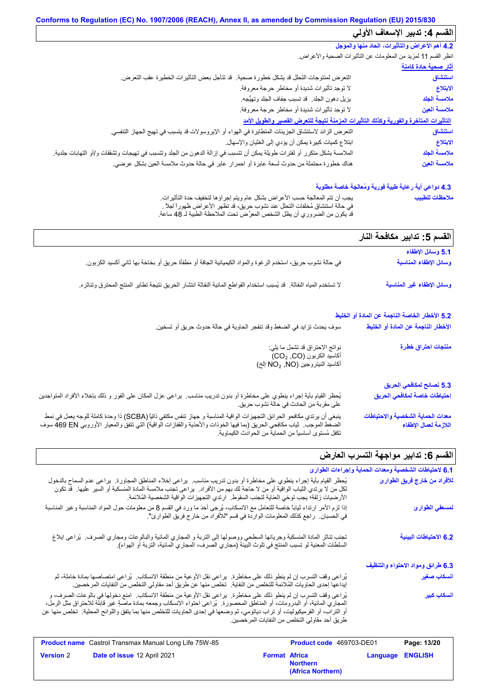| القسم 4: تدبير الإسعاف الأولى                                                         |                                                                                                                          |
|---------------------------------------------------------------------------------------|--------------------------------------------------------------------------------------------------------------------------|
| 4.2 أهم الأعراض والتأثيرات، الحاد منها والمؤجل                                        |                                                                                                                          |
| انظر القسم 11 لمزيد من المعلومات عن النَّاثيرات الصحية والأعراض.                      |                                                                                                                          |
| <u>آثار صحية حادة كامنة</u>                                                           |                                                                                                                          |
| التعرض لمنتوجات التحلل قد يشكل خطورة صحية<br>استنشاق                                  | قد تتأجل بعض التأثيرات الخطيرة عقب التعرض.                                                                               |
| لا توجد تأثيرات شديدة أو مخاطر حرجة معروفة.<br>الابتلاع                               |                                                                                                                          |
| ملامسة الجلد<br>يزيل دهون الجلد. قد تسبب جفاف الجلد وتهيُّجه.                         |                                                                                                                          |
| ملامسة العين<br>لا توجد تأثيرات شديدة أو مخاطر حرجة معروفة.                           |                                                                                                                          |
| التأثيرات المتأخرة والفورية وكذلك التأثيرات المزمنة نتيجة للتعرض القصير والطويل الأمد |                                                                                                                          |
| استنشاق                                                                               | النّعر ض الزائد لاستنشاق الجزيئات المتطايرة في الهواء أو الإيروسولات قد يتسبب في تهيج الجهاز التنفسي.                    |
| ابتلاع كميات كبيرة يمكن أن يؤدي إلى الغثيان والإسهال.<br>الابتلاع                     |                                                                                                                          |
| ملامسة الجلد                                                                          | الملامسة بشكل متكرر أو لفترات طويلة يمكن أن تتسبب في إزالة الدهون من الجلد وتتسبب في تهيجات وتشققات و/أو التهابات جلدية. |
| ملامسة العين                                                                          | هناك خطورة محتملة من حدوث لسعة عابرة أو احمرار عابر في حالة حدوث ملامسة العين بشكل عرضي.                                 |

## **4.3 دواعي أیة رعایة طبیة فوریة ومُعالجة خاصة مطلوبة**

| يجب أن نتم المعالجة حسب الأعراض بشكل عام ويتم إجراؤها لتخفيف حدة التأثيرات.       | ملاحظات للطبيب |
|-----------------------------------------------------------------------------------|----------------|
| في حالة استشاق مُخلَّفات التَّحلُّل عند نشوب حريق، قد تظهر الأعراض ظهوراً آجلاً . |                |
| قد يكون من الضروري أن يظل الشخص المعرَّض تحت الملاحظة الطبية لـ 48 ساعة.          |                |

|                                                                                                                                                                            | القسم 5: تدابير مكافحة النار                               |
|----------------------------------------------------------------------------------------------------------------------------------------------------------------------------|------------------------------------------------------------|
|                                                                                                                                                                            | 5.1 وسائل الإطفاء                                          |
| في حالة نشوب حريق، استخدم الرغوة والمواد الكيميائية الجافة أو مطفأة حريق أو بخاخة بها ثاني أكسيد الكربون.                                                                  | وسائل الإطفاء المناسبة                                     |
| لا تستخدم المياه النفاثة. قد يُسبب استخدام القواطع المائية النفاثة انتشار الحريق نتيجة تطاير المنتج المحترق وتناثره.                                                       | وسائل الإطفاء غير المناسبة                                 |
|                                                                                                                                                                            | 5.2 الأخطار الخاصة الناجمة عن المادة أو الخليط             |
| سوف يحدث تزايد في الضغط وقد تنفجر الحاوية في حالة حدوث حريق أو تسخين.                                                                                                      | الأخطار الناجمة عن المادة أو الخليط                        |
| نواتج الاحتراق قد تشمل ما يلي:                                                                                                                                             | منتجات احتراق خطرة                                         |
| أكاسيد الكربون (CO2, CO)<br>أكاسيد النيتروجين (NO و NO إلخ)                                                                                                                |                                                            |
|                                                                                                                                                                            | 5.3 نصائح لمكافحي الحريق                                   |
| يُحظر القيام بأية إجراء ينطوي على مخاطرة أو بدون تدريب مناسب.  يراعي عزل المكان على الفور و ذلك بإخلاء الأفراد المتواجدين<br>على مقربة من الحادث في حالة نشوب حريق.        | إحتياطات خاصة لمكافحي الحريق                               |
| ينبغي أن يرتدي مكافحو الحرائق التجهيزات الواقية المناسبة و جهاز تنفس مكتفي ذاتيًا (SCBA) ذا وحدة كاملة للوجه يعمل في نمط                                                   | معدات الحماية الشخصية والاحتياطات<br>اللازمة لعمال الإطفاء |
| الضغط الموجب فياب مكافحي الحريق (بما فيها الخوذات والأحذية والقفازات الواقية) التي تتفق والمعيار الأوروبي 69 EN هسوف<br>تكفل مُستوى أساسيا من الحماية من الحوادث الكيماوية |                                                            |

# **القسم :6 تدابیر مواجھة التسرب العارض**

|                                                                                                                                                                                                                                                                                                                                                         |                                              | 6.1 لاحتياطات الشخصية ومعدات الحماية وإجراءات الطوارئ |                                   |
|---------------------------------------------------------------------------------------------------------------------------------------------------------------------------------------------------------------------------------------------------------------------------------------------------------------------------------------------------------|----------------------------------------------|-------------------------------------------------------|-----------------------------------|
| يُحظر القيام بأية إجراء ينطوي على مخاطرة أو بدون ندريب مناسب. يراعي إخلاء المناطق المجاورة. يراعي عدم السماح بالدخول<br>لكل من لا يرتدي الثياب الواقية أو من لا حاجة لك بهم من الأفراد.  يراعي تجنب ملامسة المادة المنسكبة أو السير عليها.  قد تكون<br>الأرضيات زلقة؛ يجب توخي العناية لتجنب السقوط. ارتدي التجهيزات الواقية الشخصية المُلائمة.         |                                              |                                                       | للأفراد من خارج فريق الطوارئ      |
| إذا لزم الأمر ارتداء ثياباً خاصة للتعامل مع الانسكاب، يُرجى أخذ ما ورد في القسم 8 من معلومات حول المواد المناسبة وغير المناسبة<br>في الحسبان.  راجع كذلك المعلومات الواردة في قسم "للأفراد من خارج فريق الطوارئ".                                                                                                                                       |                                              |                                                       | لمسعفي الطوارئ                    |
| تجنب تناثر المادة المنسكبة وجريانها السطحي ووصولها إلى التربة و المجاري المائية والبالوعات ومجاري الصرف.  يُراعى إبلاغ<br>السلطات المعنية لو تسبب المنتج في تلوث البيئة (مجاري الصرف، المجاري المائية، التربة أو الهواء).                                                                                                                               |                                              |                                                       | 6.2 الاحتياطات البينية            |
|                                                                                                                                                                                                                                                                                                                                                         |                                              |                                                       | 6.3 طرائق ومواد الاحتواء والتنظيف |
| يُراعي وقف التسرب إن لم ينطو ذلك على مخاطرة.  براعي نقل الأوعية من منطقة الانسكاب.  يُراعي امتصاصها بمادة خاملة، ثم<br>إيداعها إحدى الحاويات المُلائمة للتخلص من النفاية.  تخلص منها عن طريق أحد مقاولي التخلص من النفايات المرخصين.                                                                                                                    |                                              |                                                       | انسكاب صغير                       |
| يُراعى وقف التسرب إن لم ينطو ذلك على مخاطرة.  براعى نقل الأوعية من منطقة الانسكاب.  امنع دخولها في بالوعات الصرف، و<br>المجاري المائية، أو البدرومات، أو المناطق المحصورة.  يُراعى احتواء الانسكاب وجمعه بمادة ماصةٍ غير قابلة للاحتراق مثل الرمل،<br>أو التراب، أو الفرميكيوليت، أو تراب دياتومي، ثم وضعها في إحدى الحاويات للتخلص منها بما يتفق واللو | طريق أحد مقاولي التخلص من النفايات المرخصين. |                                                       | انسكاب كبير                       |
| Product name Castrol Transmax Manual Long Life 75W-85                                                                                                                                                                                                                                                                                                   | Product code 469703-DE01                     |                                                       | Page: 13/20                       |
| <b>Version 2</b><br>Date of issue 12 April 2021                                                                                                                                                                                                                                                                                                         | <b>Format Africa</b><br><b>Northern</b>      | <b>Language</b>                                       | <b>ENGLISH</b>                    |

**(Africa Northern)**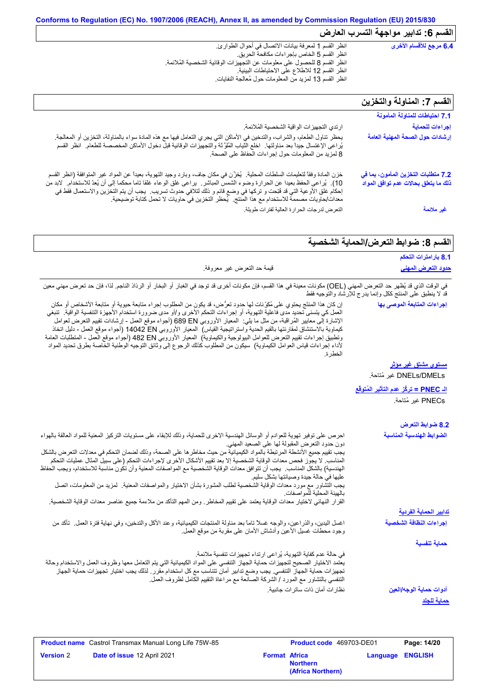| 6.4 مرجع للأقسام الأخرى  | انظر القسم 1 لمعرفة بيانات الاتصال في أحوال الطوارئ.                     |
|--------------------------|--------------------------------------------------------------------------|
|                          | انظر القسم 5 الخاص بإجراءات مكافحة الحريق.                               |
|                          | انظر القسم 8 للحصول على معلومات عن التجهيزات الوقائية الشخصية المُلائمة. |
|                          | انظر القسم 12 للاطلاع على الاحتياطات البيئية.                            |
|                          | انظر القسم 13 لمزيد من المعلومات حول مُعالجة النفايات.                   |
|                          |                                                                          |
|                          |                                                                          |
| ・こうえっせい えもいういせい マーニー なせし |                                                                          |

## **القسم :7 المناولة والتخزین**

|                                                                                                                                                                                                                                                                                                                                                                                                                                                                                     | الفسم / : المناولة والتحزين                                                 |
|-------------------------------------------------------------------------------------------------------------------------------------------------------------------------------------------------------------------------------------------------------------------------------------------------------------------------------------------------------------------------------------------------------------------------------------------------------------------------------------|-----------------------------------------------------------------------------|
|                                                                                                                                                                                                                                                                                                                                                                                                                                                                                     | 7.1 احتياطات للمناولة المأمونة                                              |
| ارتدي التجهيز ات الواقية الشخصية المُلائمة.                                                                                                                                                                                                                                                                                                                                                                                                                                         | إجراءات للحماية                                                             |
| يحظر تناول الطعام، والشراب، والتدخين في الأماكن التي يجري التعامل فيها مع هذه المادة سواء بالمناولة، التخزين أو المعالجة.<br>يُراعى الإغتسال جيداً بعد مناولتها.  اخلع الثياب العلوَّثة والتجهيزات الوقائية قبل دخول الأماكن الم<br>8 لمزيد من المعلومات حول إجراءات الحفاظ على الصحة.                                                                                                                                                                                              | إرشادات حول الصحة المهنية العامة                                            |
| خزن المادة وفقاً لتعليمات السلطات المحلية. ۗ يُغزِّن في مكان جاف، وبارد وجيد التهوية، بعيدا عن المواد غير المتوافقة (انظر القسم<br>10).  يُراعى الحفظ بعيدا عن الحرارة وضوء الشمس المباشر   براعى غلق الوعاء غلقا تاما محكما إلى أن يُعدّ للاستخدام.  لابد من<br>إحكام غلق الأوعية التي قد فُتِحت و تركها في وضع قائم و ذلك لتلافي حدوث تسريب.  يجب أن يتم التخزين والاستعمال فقط في<br>معدات/حاويات مصممة للاستخدام مع هذا المنتج.  يُحظر التخزين في حاويات لا تحمل كتابة توضيحية. | 7.2 متطلبات التخزين المأمون، بما في<br>ذلك ما يتعلق بحالات عدم توافق المواد |
| التعرض لدرجات الحرارة العالية لفترات طويلة                                                                                                                                                                                                                                                                                                                                                                                                                                          | غير ملائمة                                                                  |

# **القسم :8 ضوابط التعرض/الحمایة الشخصیة**

| 8.1 بارامترات التحكم                                       |                                                                                                                                                                                                                                                                                                                                                                                                                                                                                                                                                                                                                                                                                                                                                                               |
|------------------------------------------------------------|-------------------------------------------------------------------------------------------------------------------------------------------------------------------------------------------------------------------------------------------------------------------------------------------------------------------------------------------------------------------------------------------------------------------------------------------------------------------------------------------------------------------------------------------------------------------------------------------------------------------------------------------------------------------------------------------------------------------------------------------------------------------------------|
| <u>حدود التعرض المهنى</u>                                  | قيمة حد التعرض غير معروفة.                                                                                                                                                                                                                                                                                                                                                                                                                                                                                                                                                                                                                                                                                                                                                    |
| قد لا ينطبق على المنتج ككل وإنما يدرج للإرشاد والتوجيه فقط | في الوقت الذي قد يُظهر حد التعرض المهني (OEL) مكونات معينة في هذا القسم، فإن مكونات أخرى قد توجد في الغبار أو البخار أو الرذاذ الناجم. لذا، فإن حد تعرض مهني معين                                                                                                                                                                                                                                                                                                                                                                                                                                                                                                                                                                                                             |
| إجراءات المتابعة الموصى بها                                | إن كان هذا المنتّج يحتوي على مُكرِّنات لها حدود تعرُّض، قد يكون من المطلوب إجراء متابعة حيوية أو متابعة الأشخاص أو مكان<br>العمل كي يتسنى تحديد مدى فاعلية التهوية، أو إجراءات التحكم الأخرى و/أو مدى ضرورة استخدام الأجهزة التنفسية الواقية.  تنبغي<br>الإشارة إلى معايير الْمُراقَبة، من مثل ما يلي:  المعيار الأوروبي 689 EN (أجواء موقع العمل - إرشادات تقييم التعرض لعوامل<br>كيماوية بالاستنشاق لمقارنتها بالقيم الحدية واستراتيجية القياس)  المعيار الأوروبي 14042 EN (أجواء موقع العمل - دليل اتخاذ<br>وتطبيق إجراءات تقييم التعرض للعوامل البيولوجية والكيماوية)  المعيار الأوروبي 482 B2 (أجواء موقع العمل - المنطلبات العامة<br>لأداء إجراءات قياس العوامل الكيماوية)  سيكون من المطلوب كذلك الرجو ع إلى وثائق التوجيه الوطنية الخاصة بطرق تحديد المواد<br>الخطر ة |
| مستوى مشتق غير مؤثر                                        |                                                                                                                                                                                                                                                                                                                                                                                                                                                                                                                                                                                                                                                                                                                                                                               |
| DNELs/DMELs غير مُتاحة.                                    |                                                                                                                                                                                                                                                                                                                                                                                                                                                                                                                                                                                                                                                                                                                                                                               |
| ا <mark>لـ PNEC = تركُّز عدم التأثير المُتوفَّع</mark>     |                                                                                                                                                                                                                                                                                                                                                                                                                                                                                                                                                                                                                                                                                                                                                                               |
| PNECs غير مُتاحة.                                          |                                                                                                                                                                                                                                                                                                                                                                                                                                                                                                                                                                                                                                                                                                                                                                               |
| 8.2 ضوابط التعرض                                           |                                                                                                                                                                                                                                                                                                                                                                                                                                                                                                                                                                                                                                                                                                                                                                               |
| الضوابط الهندسية المناسبة                                  | احرص على توفير تهوية للعوادم أو الوسائل الهندسية الاخرى للحماية، وذلك للإبقاء على مستويات التركيز المعنية للمواد العالقة بالهواء<br>دون حدود التعرض المقبولة لها على الصعيد المهنى                                                                                                                                                                                                                                                                                                                                                                                                                                                                                                                                                                                            |
|                                                            | يجب تقييم جميع الأنشطة المرتبطة بالمواد الكيميائية من حيث مخاطر ها على الصحة، وذلك لضمان التحكم في معدلات التعرض بالشكل<br>المناسب. لا يجوّز فحص معدات الوقاية الشخصية إلا بعد تقييم الأشكال الأخرى لإجراءات التحكم (على سبيل المثال عمليات التحكم<br>الهندسية) بالشكل المذاسب وجب أن تتوافق معدات الوقاية الشخصية مع المواصفات المعنية وأن تكون مناسبة للاستخدام، ويجب الحفاظ                                                                                                                                                                                                                                                                                                                                                                                                |
|                                                            | عليها في حالة جيدة وصيانتها بشكل سليم<br>يجب التِّشاور مع مورد معدات الوقاية الشَّخصية لطلب المشورة بشأن الاختيار والمواصفات المعنية. لمزيد من المعلومات، اتصل<br>بالهيئة المحلية للمواصفات.                                                                                                                                                                                                                                                                                                                                                                                                                                                                                                                                                                                  |
|                                                            | القرار النهائي لاختيار معدات الوقاية يعتمد على تقييم المخاطر ـ ومن المهم التأكد من ملاءمة جميع عناصر معدات الوقاية الشخصية.                                                                                                                                                                                                                                                                                                                                                                                                                                                                                                                                                                                                                                                   |
| <u>تدابير الحماية الفردية</u>                              |                                                                                                                                                                                                                                                                                                                                                                                                                                                                                                                                                                                                                                                                                                                                                                               |
| إجراءات النظافة الشخصية                                    | اغسل اليدين، والذراعين، والوجه غسلا تاماً بعد مناولة المنتجات الكيميائية، وعند الأكل والتدخين، وفي نهاية فترة العمل _ تأكد من<br>وجود محطات غسلي الأعين وأدشاش الأمان على مقربة من موقع العمل                                                                                                                                                                                                                                                                                                                                                                                                                                                                                                                                                                                 |
| حماية تنفسية                                               |                                                                                                                                                                                                                                                                                                                                                                                                                                                                                                                                                                                                                                                                                                                                                                               |
|                                                            | في حالة عدم كفاية التهوية، يُراعى ارتداء تجهيزات تنفسية ملائمة.<br>يعتمد الاختيار الصحيح لتجهيزات حماية الجهاز التنفسي على المواد الكيميائية التي يتم التعامل معها وظروف العمل والاستخدام وحالة<br>تجهيز ات حماية الجهاز التنفسي. يجب وضع تدابير أمان تتناسب مع كل استخدام مقرر . لذلك يجب اختيار تجهيزات حماية الجهاز<br>التنفسي بالتشاور مع المورد / الشركة الصانعة مع مراعاة التقييم الكامل لظروف العمل.                                                                                                                                                                                                                                                                                                                                                                   |
| أدوات حماية الوجه/العين                                    | نظار ات أمان ذات ساتر ات جانبية.                                                                                                                                                                                                                                                                                                                                                                                                                                                                                                                                                                                                                                                                                                                                              |
| حماية للجلد                                                |                                                                                                                                                                                                                                                                                                                                                                                                                                                                                                                                                                                                                                                                                                                                                                               |

|                  | <b>Product name</b> Castrol Transmax Manual Long Life 75W-85 |                      | <b>Product code</b> 469703-DE01      |                         | Page: 14/20 |
|------------------|--------------------------------------------------------------|----------------------|--------------------------------------|-------------------------|-------------|
| <b>Version 2</b> | <b>Date of issue 12 April 2021</b>                           | <b>Format Africa</b> | <b>Northern</b><br>(Africa Northern) | <b>Language ENGLISH</b> |             |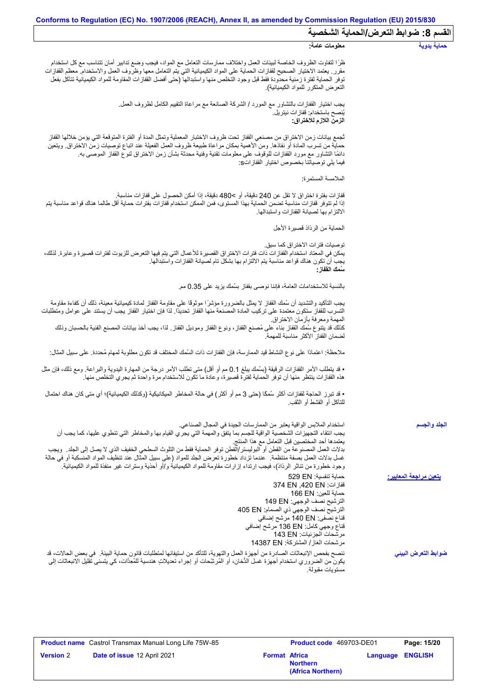|                                       | Conforms to Regulation (EC) No. 1907/2006 (REACH), Annex II, as amended by Commission Regulation (EU) 2015/830                                                                                                                                                                                                                                                                                                                                                                                                                                                                                                                      |
|---------------------------------------|-------------------------------------------------------------------------------------------------------------------------------------------------------------------------------------------------------------------------------------------------------------------------------------------------------------------------------------------------------------------------------------------------------------------------------------------------------------------------------------------------------------------------------------------------------------------------------------------------------------------------------------|
| القسم 8: ضوابط التعرض/الحماية الشخصية |                                                                                                                                                                                                                                                                                                                                                                                                                                                                                                                                                                                                                                     |
| حماية يدوية                           | معلومات عامة:                                                                                                                                                                                                                                                                                                                                                                                                                                                                                                                                                                                                                       |
|                                       | ظرًا لتفاوت الظروف الخاصة لبيئات العمل واختلاف ممارسات التعامل مع المواد، فيجب وضع تدابير أمان تتناسب مع كل استخدام<br>مقرر ٍ يعتمد الاختيار الصحيح لقفازات الحماية على المواد الكيميائية التي يتم التعامل معها وظروف العمل والاستخدام ِ معظم القفازات<br>توفر الحماية لفترة زمنية محدودة فقط قبل وجود التخلص منها واستبدالها (حتى أفضل القفازات المقاومة للمواد الكيميائية تتآكل بفعل<br>التعرض المتكرر للمواد الكيميائية).                                                                                                                                                                                                        |
|                                       | يجب اختيار القفازات بالتشاور مع المورد / الشركة الصـانعة مع مراعاة التقييم الكامل لظروف العمل<br>يُنصح باستخدام: قفاز ات نيتريل.<br>الزمن اللازم للاختراق:                                                                                                                                                                                                                                                                                                                                                                                                                                                                          |
|                                       | ثجمع بيانات زمن الاختراق من مصنعي القفاز تحت ظروف الاختبار المعملية وتمثل المدة أو الفترة المتوقعة التي يؤمن خلالها القفاز<br>حماية من تسرب المادة أو نفاذها. ومن الأهمية بمكان مراعاة طبيعة ظروف العمل الفعيلة عند اتباع توصيات زمن الاختراق. ويتعين<br>دائمًا التشاور مع مورد القفازات للوقوف على معلومات تقنية وفنية محدثة بشأن زمن الاختراق لنوع القفاز الموصىي به.<br>فيما يلِّي توصياتنا بخصوص اختيار  القفاز اتS:                                                                                                                                                                                                            |
|                                       | الملامسة المستمرة:                                                                                                                                                                                                                                                                                                                                                                                                                                                                                                                                                                                                                  |
|                                       | ففازات بفترة اختراق لا تقل عن 240 دقيقة، أو >480 دقيقة، إذا أمكن الحصول على قفازات مناسبة.<br>إذا لم تتوفر قفازات مناسبة تضمن الحماية بهذا المستوى، فمن الممكن استخدام قفازات بفترات حماية أقل طالما هناك قواعد مناسبة يتم<br>الالتزام بها لصيانة القفازات واستبدالها                                                                                                                                                                                                                                                                                                                                                               |
|                                       | الحماية من الرذاذ قصيرة الأجل                                                                                                                                                                                                                                                                                                                                                                                                                                                                                                                                                                                                       |
|                                       | توصيات فتر ات الاختر اق كما سبق.<br>يمكن في المعتاد استخدام القفازات ذات فترات الاختراق القصيرة للأعمال التي يتم فيها التعرض للزيوت لفترات قصيرة وعابرة. لذلك،<br>يجب أن تكون هناك قواعد مناسبة يتم الالتزام بها بشكل تام لصيانة القفازات واستبدالها.<br>سُمك الففاز :                                                                                                                                                                                                                                                                                                                                                              |
|                                       | بالنسبة للاستخدامات العامة، فإننا نوصي بقفاز بسُمك يزيد على 0.35 مم.                                                                                                                                                                                                                                                                                                                                                                                                                                                                                                                                                                |
|                                       | يجب التأكيد والتشديد أن سُمك القفاز لا يمثل بالضرورة مؤشرًا موثوقًا على مقاومة القفاز لمادة كيميائية معينة، ذلك أن كفاءة مقاومة<br>التسرب للقفاز ستكون معتمدة على تركيب المادة المصنعة منها القفاز تحديدًا. لذا فإن اختيار القفاز يجب أن يستند على عوامل ومتطلبات                                                                                                                                                                                                                                                                                                                                                                   |
|                                       | المهمة ومعرفة بأزمان الاختراق<br>كذلك قد يتنوع سُمك القفاز بناء على مُصنع القفاز، ونوع القفاز وموديل القفاز ٍ لذا، يجب أخذ بيانات المصنع الفنية بالحسبان وذلك<br>لضمان القفاز الأكثر مناسبة للمهمة                                                                                                                                                                                                                                                                                                                                                                                                                                  |
|                                       | ملاحظة: اعتمادًا على نوع النشاط قيد الممارسة، فإن القفازات ذات السُمك المختلف قد تكون مطلوبة لمهام مُحددة. على سبيل المثال:                                                                                                                                                                                                                                                                                                                                                                                                                                                                                                         |
|                                       | • قد يتطلب الأمر القفازات الرقيقة (بسُمك يبلغ 0.1 مم أو أقل) متى تطلب الأمر درجة من المهارة اليدوية والبراعة. ومع ذلك، فإن مثل<br>هذه القفازات ينتظر منها أن توفر الحماية لفترة قصيرة، و عادة ما تكون للاستخدام مرة واحدة ثم يجري التخلص منها.                                                                                                                                                                                                                                                                                                                                                                                      |
|                                       | • قد تبرز الحاجة لقفازات أكثر سُمكا (حتى 3 مم أو أكثر ) في حالة المخاطر الميكانيكية (وكذلك الكيميائية)؛ أي متى كان هناك احتمال<br>للتآكل أو القشط أو الثقب.                                                                                                                                                                                                                                                                                                                                                                                                                                                                         |
| الجلد والجسم                          | استخدام الملابس الواقية يعتبر من الممارسات الجيدة في المجال الصناعي.<br>يجب انتُقاء التجهيزات الشخصية الواقية للجسم بما يتفقّ والمهمة التي يجري القيام بها والمخاطر التي تنطوي عليها، كما يجب أن<br>يعتمدها أحد المختصين قبل التعامل مع هذا المنتج<br>بدلات العمل المصنوعة من القطن أو البوليستر/القطن توفر الحماية فقط من التلوث السطحي الخفيف الذي لا يصل إلى الجلد ٍ ويجب<br>غسل بدلات العمل بصفة منتظمة. عندما تزداد خطورة تعرض الجلد للمواد (على سبيل المثّال عند تنظيفٌ المواد المنسكبة أو في حالة<br>وجود خطورة من تناثر الرذاذ)، فيجب ارتداء إزارات مقاومة للمواد الكيميائية و/أو أحذية وسترات غير منفذة للمواد الكيميائية. |
| <u>يتعين مراجعة المعايير :</u>        | حماية تنفسية: 529 EN<br>قفازات: 374 EN ,420 EN<br>حماية للعين: 166 EN<br>الترشيح نصف الوجهي: 149 EN<br>الترشيح نصف الوجهي ذي الصمام: 405 EN<br>قناع نصفي: 140 EN مرشح إضافي<br>قذاع وجهي كامل: 136 EN مرشح إضافي<br>مرشحات الجزئيات: 143 EN<br>مرشحات الغاز / المشتركة: 14387 EN                                                                                                                                                                                                                                                                                                                                                    |
| ضوابط التعرض البينى                   | ننصح بفحص الإنبعاثات الصادرة من أجهزة العمل والتهوية، للتأكد من استيفائها لمتطلبات قانون حماية البيئة في بعض الحالات، قد<br>يكون من الضروري استخدام أجهزة غسل الدُّخان، أو المُرشِّحات أو إجراء تعديلاتٍ هندسية للمُعِدَّات، كي يتسنى تقليل الانبعاثات إلى<br>مستويات مقبولة                                                                                                                                                                                                                                                                                                                                                        |

|                  | <b>Product name</b> Castrol Transmax Manual Long Life 75W-85 |                      | Product code 469703-DE01             |                         | Page: 15/20 |
|------------------|--------------------------------------------------------------|----------------------|--------------------------------------|-------------------------|-------------|
| <b>Version</b> 2 | Date of issue 12 April 2021                                  | <b>Format Africa</b> | <b>Northern</b><br>(Africa Northern) | <b>Language ENGLISH</b> |             |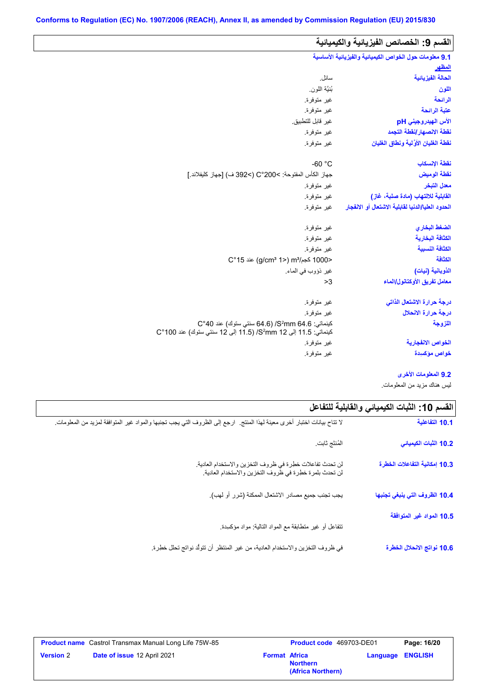| القسم 9: الخصائص الفيزيائية والكيميائية                |                                                                                                                          |
|--------------------------------------------------------|--------------------------------------------------------------------------------------------------------------------------|
| 9.1 معلومات حول الخواص الكيميانية والفيزيانية الأساسية |                                                                                                                          |
| المظهر                                                 |                                                                                                                          |
| الحالة الفيزيانية                                      | سائل.                                                                                                                    |
| اللون                                                  | بُنيَّة اللون.                                                                                                           |
| الرائحة                                                | غير متوفرة.                                                                                                              |
| عتبة الرائحة                                           | غير متوفرة.                                                                                                              |
| الأس الهيدروجيني pH                                    | غير قابل للتطبيق.                                                                                                        |
| نقطة الانصهار إنقطة التجمد                             | غير متوفرة.                                                                                                              |
| نقطة الغليان الأوَّلية ونطاق الغليان                   | غير متوفرة.                                                                                                              |
| نقطة الإنسكاب                                          | $-60 °C$                                                                                                                 |
| نقطة الوميض                                            | جهاز الكأس المفتوحة: >200°C (>392 ف) [جهاز كليفلاند.]                                                                    |
| معدل التبخر                                            | غير متوفرة.                                                                                                              |
| القابلية للالتهاب (مادة صلبة، غاز)                     | غير متوفرة.                                                                                                              |
| الحدود العليا/الدنيا لقابلية الاشتعال أو الانفجار      | غير متوفرة.                                                                                                              |
| الضغط البخاري                                          | غير متوفرة.                                                                                                              |
| الكثافة البخارية                                       | غير متوفرة.                                                                                                              |
| الكثافة النسبية                                        | غير متوفرة.                                                                                                              |
| الكثافة                                                | <1000 كجم/m3 (2°15) m3 عند 15°C                                                                                          |
| الذوبانية (نيات)                                       | غير ذؤوب في الماء.                                                                                                       |
| معامل تفريق الأوكتانول/الماء                           | >3                                                                                                                       |
| درجة حرارة الاشتعال الذاتى                             | غير متوفرة.                                                                                                              |
| درجة حرارة الانحلال                                    | غير متوفرة.                                                                                                              |
| اللزوجة                                                | كينماتي: S2mm 64.6/ (64.6 سنتي ستوك) عند C°40<br>كينماتي: 11.5 إلى 22 S <sup>2</sup> mm( /5) إلى 12 سنتي ستوك) عند 100°C |
| الخواص الانفجا <i>ر</i> ية                             | غير متوفرة.                                                                                                              |
|                                                        |                                                                                                                          |

**9.2 المعلومات الأخرى**

لیس ھناك مزید من المعلومات.

| القسم 10: الثبات الكيميائي والقابلية للتفاعل |                                                                                                                           |
|----------------------------------------------|---------------------------------------------------------------------------------------------------------------------------|
| 10.1 التفاعلية                               | لا تتاح بيانات اختبار أخرى معينة لهذا المنتج   ارجع إلى الظروف التي يجب تجنبها والمواد غير المتوافقة لمزيد من المعلومات ِ |
| 10.2 الثبات الكيميائي                        | المُنتَج ثابت.                                                                                                            |
| 10.3 إمكانية التفاعلات الخطرة                | لن تحدث تفاعلات خطرة في ظروف التخزين والاستخدام العادية.<br>لن تحدث بلمرة خطرة في ظروف التخزين والاستخدام العادية.        |
| 10.4 الظروف التي ينبغي تجنبها                | يجب تجنب جميع مصادر الاشتعال الممكنة (شرر أو لهب).                                                                        |
| 10.5 المواد غير المتوافقة                    | نتفاعل أو غير متطابقة مع المواد التالية: مواد مؤكمبدة                                                                     |
| 10.6 نواتج الانحلال الخطرة                   | في ظروف التخزين والاستخدام العادية، من غير المنتظر أن تتولَّد نواتج تحلل خطِرة.                                           |

 $\mathbf{r}$ 

|                  | <b>Product name</b> Castrol Transmax Manual Long Life 75W-85 |                      | Product code 469703-DE01             |                         | Page: 16/20 |
|------------------|--------------------------------------------------------------|----------------------|--------------------------------------|-------------------------|-------------|
| <b>Version 2</b> | Date of issue 12 April 2021                                  | <b>Format Africa</b> | <b>Northern</b><br>(Africa Northern) | <b>Language ENGLISH</b> |             |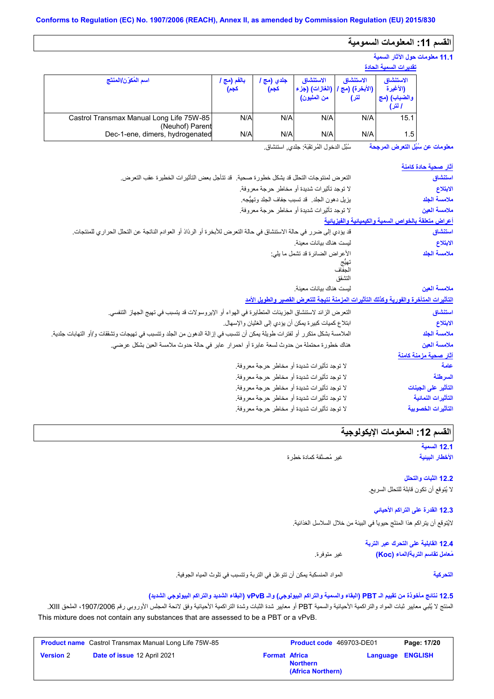## **القسم :11 المعلومات السمومیة**

#### **11.1 معلومات حول الآثار السمیة تقدیرات السمیة الحادة**

|                                                                                                |                     |                  |                                            |                                    | <u>enemie – process – proces</u>                |
|------------------------------------------------------------------------------------------------|---------------------|------------------|--------------------------------------------|------------------------------------|-------------------------------------------------|
| اسم المُكوّن/المنتَج                                                                           | بالفم (مج '<br>كجم) | جلدي (مج<br>كجم) | الاستنشاق<br>(الغازات) (جزء<br>من المليون) | الاستنشاق<br>(الأبخرة) (مج<br>لتر) | الاستنشاق<br>(الأغبرة<br>والضباب) (مج<br>ا لتر) |
| Castrol Transmax Manual Long Life 75W-85<br>(Neuhof) Parent<br>Dec-1-ene, dimers, hydrogenated | N/A<br>N/A          | N/A<br>N/A       | N/A<br>N/A                                 | N/A<br>N/A                         | 15.1<br>1.5                                     |

سُبُل الدخول المُرتقَبَة: جلدي, استنشاق. **معلومات عن سُبُل التعرض المرجحة**

|                                                                                                                          | <u>آثار صحية حادة كامنة</u>                         |
|--------------------------------------------------------------------------------------------------------------------------|-----------------------------------------------------|
| النعر ض لمنتوجات التحلل قد يشكل خطورة صحية.   قد تتأجل بعض التأثير ات الخطيرة عقب التعر ض.                               | استنشاق                                             |
| لا توجد تأثيرات شديدة أو مخاطر حرجة معروفة.                                                                              | الابتلاع                                            |
| يزيل دهون الجلد _ قد تسبب جفاف الجلد وتهيُّجه ِ                                                                          | ملامسة الجلد                                        |
| لا توجد تأثيرات شديدة أو مخاطر حرجة معروفة.                                                                              | ملامسة العين                                        |
|                                                                                                                          | أعراض متعلقة بالخواص السمية والكيميانية والفيزيانية |
| قد يؤدي إلى ضرر في حالة الاستنشاق في حالة التعرض للأبخرة أو الرذاذ أو العوادم الناتجة عن التحلل الحراري للمنتجات.        | استنشاق                                             |
| ليست هناك بيانات معينة.                                                                                                  | الابتلاع                                            |
| الأعراض الضائرة قد تشمل ما يلي:                                                                                          | ملامسة الجلد                                        |
| تهيُّج<br>الجفاف                                                                                                         |                                                     |
| التشقق                                                                                                                   |                                                     |
| ليست هناك بيانات معينة.                                                                                                  | ملامسة العين                                        |
| التأثيرات المتأخرة والفورية وكذلك التأثيرات المزمنة نتيجة للتعرض القصير والطويل الأمد                                    |                                                     |
|                                                                                                                          |                                                     |
| التعرض الزائد لاستنشاق الجزيئات المتطايرة في الهواء أو الإيروسولات قد يتسبب في تهيج الجهاز التنفسي.                      | استنشاق                                             |
| ابتلاع كميات كبيرة يمكن أن يؤدي إلى الغثيان والإسهال.                                                                    | الابتلاع                                            |
| الملامسة بشكل متكرر أو لفترات طويلة يمكن أن تتسبب في إزالة الدهون من الجلد وتتسبب في تهيجات وتشققات و/أو التهابات جلدية. | ملامسة الجلد                                        |
| هناك خطورة محتملة من حدوث لسعة عابرة أو احمرار عابر في حالة حدوث ملامسة العين بشكل عرضي.                                 | ملامسة العين                                        |
|                                                                                                                          | آثار صحية مزمنة كامنة                               |
| لا توجد تأثيرات شديدة أو مخاطر حرجة معروفة.                                                                              | علمة                                                |
| لا توجد تأثيرات شديدة أو مخاطر حرجة معروفة.                                                                              | السرطنة                                             |
| لا توجد تأثيرات شديدة أو مخاطر حرجة معروفة.                                                                              | التأثير عل <i>ى</i> الجينات                         |
| لا توجد تأثيرات شديدة أو مخاطر حرجة معروفة.                                                                              | التأثيرات النمائية                                  |
| لا توجد تأثيرات شديدة أو مخاطر حرجة معروفة.                                                                              | التأثير ات الخصو بية                                |

## **القسم :12 المعلومات الإیكولوجیة**

**12.1 السمیة الأخطار البیئیة**

غیر مُصنَّفة كمادة خطِرة

**12.2 الثبات والتحلل** لا یُتوقع أن تكون قابلة للتحلل السریع.

**12.3 القدرة على التراكم الأحیائي**

لایُتوقع أن یتراكم ھذا المنتَج حیویاً في البیئة من خلال السلاسل الغذائیة.

**12.4 القابلیة على التحرك عبر التربة مُعامل تقاسم التربة/الماء (Koc(**

المواد المنسكبة یمكن أن تتوغل في التربة وتتسبب في تلوث المیاه الجوفیة. **التحركیة**

غیر متوفرة.

#### **12.5 نتائج مأخوذة من تقییم الـ PBT) البقاء والسمیة والتراكم البیولوجي) والـ vPvB) البقاء الشدید والتراكم البیولوجي الشدید)**

المنتج لا یُلبي معاییر ثبات المواد والتراكمیة الأحیائیة والسمیة PBT أو معاییر شدة الثبات وشدة التراكمیة الأحیائیة وفق لائحة المجلس الأوروبي رقم ،1907/2006 الملحق XIII. This mixture does not contain any substances that are assessed to be a PBT or a vPvB.

|                  | <b>Product name</b> Castrol Transmax Manual Long Life 75W-85 |                      | <b>Product code</b> 469703-DE01      |                         | Page: 17/20 |
|------------------|--------------------------------------------------------------|----------------------|--------------------------------------|-------------------------|-------------|
| <b>Version 2</b> | Date of issue 12 April 2021                                  | <b>Format Africa</b> | <b>Northern</b><br>(Africa Northern) | <b>Language ENGLISH</b> |             |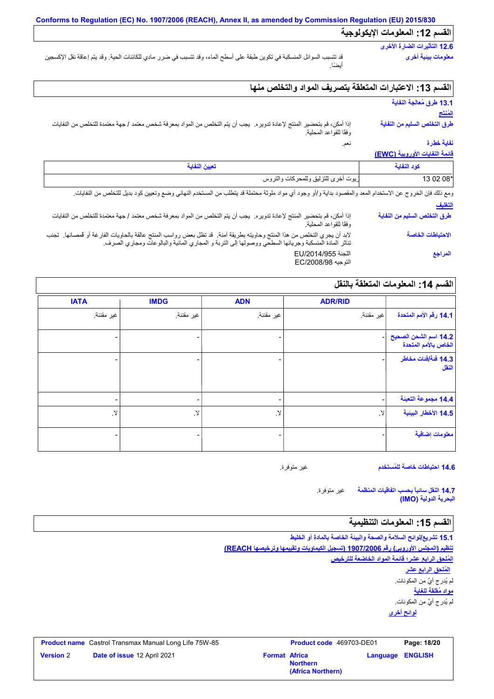# **القسم :12 المعلومات الإیكولوجیة**

#### **12.6 التأثیرات الضارة الأخرى معلومات بیئیة أخرى**

قد تتسبب السوائل المنسكبة في تكوین طبقة على أسطح الماء، وقد تتسبب في ضرر مادي للكائنات الحیة. وقد یتم إعاقة نقل الإكسجین أیضًا.

## **القسم :13 الاعتبارات المتعلقة بتصریف المواد والتخلص منھا**

نعم.

## **13.1 طرق مُعالجة النفایة المُنتَج**

**طرق التخلص السلیم من النفایة**

إذا أمكن، قم بتحضیر المنتج لإعادة تدویره. یجب أن یتم التخلص من المواد بمعرفة شخص معتمد / جھة معتمدة للتخلص من النفایات وفقًا للقواعد المحلیة.

## **نفایة خطِرة**

#### **قائمة النفایات الأوروبیة (EWC(**

| تعيين النفاية                       | كه د النفات |
|-------------------------------------|-------------|
| زيوت أخرى للتزليق وللمحركات والتروس | 13 02 08*   |

**التغلیف** ومع ذلك فإن الخروج عن الاستخدام المعد والمقصود بداية و/أو وجود أي مواد ملوثة محتملة قد يتطلب من المستخدم النهائي وضع وتعيين كود بديل للتخلص من النفايات.

| سعيف                         |                                                                                                                                                                                                                                  |
|------------------------------|----------------------------------------------------------------------------------------------------------------------------------------------------------------------------------------------------------------------------------|
| طرق التخلص السليم من النفاية | إذا أمكن، قم بتحضير المنتج لإعادة تدويره. يجب أن يتم التخلص من المواد بمعرفة شخص معتمد / جهة معتمدة للتخلص من النفايات<br>وفقًا للقواعد المحلية.                                                                                 |
| الاحتياطات الخاصة            | لابد أن يجري التخلص من هذا المنتج وحاويته بطريقة آمنة.  قد تظل بعض رواسب المنتج عالقة بالحاويات الفارغة أو فمصانها.  تجنب<br>تناثر المادة المنسكبة وجريانها السطحي ووصولها إلى التربة و المجاري المائية والبالوعات ومجاري الصرف. |
| المراجع                      | اللجنة EU/2014/955<br>التوجيه EC/2008/98                                                                                                                                                                                         |

## القسم 1**4:** المعلومات المتعلقة بالنقل

|                                               | <b>ADR/RID</b> | <b>ADN</b> | <b>IMDG</b>              | <b>IATA</b>   |
|-----------------------------------------------|----------------|------------|--------------------------|---------------|
| 14.1 رقم الأمم المتحدة                        | غير مقننة.     | غير مقننة. | غير مقننة.               | غير مقننة.    |
| 14.2 اسم الشحن الصحيح<br>الخاص بالأمم المتحدة |                |            |                          |               |
| 14.3 فَنَةَ/فَنَاتَ مَخَاطِر<br>النقل         |                |            |                          |               |
| 14.4 مجموعة التعبنة                           |                |            | $\overline{\phantom{0}}$ |               |
| 14.5 الأخطار البينية                          | . Y            | <u>ړ</u>   | $\,$ $\,$ $\,$           | $\mathcal{Y}$ |
| معلومات إضافية                                |                |            |                          |               |

#### **14.6 احتیاطات خاصة للمُستخدم**

غیر متوفرة.

غیر متوفرة. **14.7 النقل سائباً بحسب اتفاقیات المنظمة البحریة الدولیة (IMO(**

## القسم 15: المعلومات التنظيمية

**لوائح أخرى 15.1 تشریع/لوائح السلامة والصحة والبیئة الخاصة بالمادة أو الخلیط تنظیم (المجلس الأوروبي) رقم 1907/2006 (تسجیل الكیماویات وتقییمھا وترخیصھا REACH( المُلحق الرابع عشر؛ قائمة المواد الخاضعة للترخیص مواد مُقلقة للغایة** لم یُدرج أيٌ من المكونات. لم یُدرج أيٌ من المكونات. **المُلحق الرابع عشر**

|           | <b>Product name</b> Castrol Transmax Manual Long Life 75W-85 |                      | Product code 469703-DE01             |                         | Page: 18/20 |
|-----------|--------------------------------------------------------------|----------------------|--------------------------------------|-------------------------|-------------|
| Version 2 | <b>Date of issue 12 April 2021</b>                           | <b>Format Africa</b> | <b>Northern</b><br>(Africa Northern) | <b>Language ENGLISH</b> |             |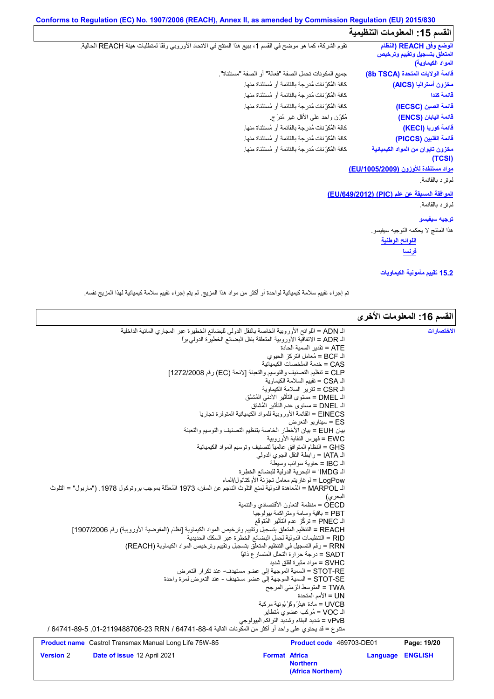## **Conforms to Regulation (EC) No. 1907/2006 (REACH), Annex II, as amended by Commission Regulation (EU) 2015/830 القسم :15 المعلومات التنظیمیة**

**اللوائح الوطنیة** تقوم الشركة، كما ھو موضح في القسم ،1 ببیع ھذا المنتَج في الاتحاد الأوروبي وفقًا لمتطلبات ھیئة REACH الحالیة. كافة المُكوِّنات مُدرجة بالقائمة أو مُستثناة منھا. كافة المُكوِّنات مُدرجة بالقائمة أو مُستثناة منھا. كافة المُكوِّنات مُدرجة بالقائمة أو مُستثناة منھا. مُكوِّن واحد على الأقل غیر مُدرَ ج. جمیع المكونات تحمل الصفة "فعالة" أو الصفة "مستثناة". كافة المُكوِّنات مُدرجة بالقائمة أو مُستثناة منھا. كافة المُكوِّنات مُدرجة بالقائمة أو مُستثناة منھا. كافة المُكوِّنات مُدرجة بالقائمة أو مُستثناة منھا. **مواد مستنفدة للأوزون (/1005/2009EU(** قائمة الفلبين (<br>مخزون تايوان<br>مخرون تايوان<br>مولد مستنفدة<br>لم ترِ د بالقائمة.<br>ما **الموافقة المسبقة عن علم (PIC) (/649/2012EU(** رِ الرَّ حرَّ الرَّ عَبَّلَ الرَّ عَبَّلَ الرَّ عَبَّلَ الرَّ عَبَّلَ الرَّ عَبَّل<br>الم ترِّ د بالقائمة.<br>المورافقة المسبب<br>الم ترِّ د بالقائمة. **توجیھ سیفیسو** ھذا المنتج لا یحكمھ التوجیھ سیفیسو. **الوضع وفق REACH) النظام المتعلق بتسجیل وتقییم وترخیص المواد الكیماویة) قائمة الولایات المتحدة (TSCA b8( مخزون أسترالیا (AICS( قائمة كندا قائمة الصین (IECSC( قائمة الیابان (ENCS( قائمة كوریا (KECI( قائمة الفلبین (PICCS( مخزون تایوان من المواد الكیمیائیة (TCSI) فرنسا 15.2 تقییم مأمونیة الكیماویات**

تم إجراء تقییم سلامة كیمیائیة لواحدة أو أكثر من مواد ھذا المزیج. لم یتم إجراء تقییم سلامة كیمیائیة لھذا المزیج نفسھ.

|                  |                                                                                                                    |                      |                                                                 |                  | القسم 16: المعلومات الأخرى |
|------------------|--------------------------------------------------------------------------------------------------------------------|----------------------|-----------------------------------------------------------------|------------------|----------------------------|
|                  | الـ ADN = اللوائح الأوروبية الخاصة بالنقل الدولي للبضائع الخطيرة عبر المجاري المائية الداخلية                      |                      |                                                                 |                  | الاختصارات                 |
|                  | الـ ADR = الاتفاقية الأوروبية المتعلقة بنقل البضائع الخطيرة الدولي براً                                            |                      |                                                                 |                  |                            |
|                  |                                                                                                                    |                      | ATE = تقدير السمية الحادة                                       |                  |                            |
|                  |                                                                                                                    |                      | الـ BCF = مُعامل التركز  الحيو ي                                |                  |                            |
|                  |                                                                                                                    |                      | CAS = خدمة الملخصات الكيميائية                                  |                  |                            |
|                  | CLP = تنظيم التصنيف والتوسيم والتعبئة [لائحة (EC) رقم 1272/2008]                                                   |                      |                                                                 |                  |                            |
|                  |                                                                                                                    |                      | الـ CSA = تقييم السلامة الكيماوية                               |                  |                            |
|                  |                                                                                                                    |                      | الـ CSR = تقرير السلامة الكيماوية                               |                  |                            |
|                  |                                                                                                                    |                      | الـ DMEL = مستوى التأثير  الأدنى المُشتَق                       |                  |                            |
|                  |                                                                                                                    |                      | الـ DNEL = مستوى عدم التأثير المُشتق                            |                  |                            |
|                  |                                                                                                                    |                      | EINECS = القائمة الأور وبية للمواد الكيميائية المتوفر ة تجار يا |                  |                            |
|                  |                                                                                                                    |                      | ES = سيناريو التعرض                                             |                  |                            |
|                  | بيان EUH = بيان الأخطار الخاصة بتنظيم التصنيف والتوسيم والتعبئة                                                    |                      |                                                                 |                  |                            |
|                  |                                                                                                                    |                      | EWC = فهر س النفاية الأور وبية                                  |                  |                            |
|                  |                                                                                                                    |                      | GHS = النظام المتوافق عالمياً لتصنيف وتوسيم المواد الكيميائية   |                  |                            |
|                  |                                                                                                                    |                      | الـ IATA = رابطة النقل الجوى الدولي                             |                  |                            |
|                  |                                                                                                                    |                      | الـ IBC = حاوية سوائب وسيطة                                     |                  |                            |
|                  |                                                                                                                    |                      | الـ IMDG = البحرية الدولية للبضائع الخطرة                       |                  |                            |
|                  |                                                                                                                    |                      | LogPow = لوغاريتم معامل تجزئة الأوكتانول/الماء                  |                  |                            |
|                  | اك MARPOL = المُعاهدة الدولية لمفع التلوث الناجم عن السفن، 1973 المُعدَّلة بموجب بروتوكول 1978. ("ماربول" = التلوث |                      |                                                                 |                  |                            |
|                  |                                                                                                                    |                      | البحر ي)<br>OECD = منظمة التعاون الأقتصادي والتنمية             |                  |                            |
|                  |                                                                                                                    |                      | PBT = باقية وسامة ومتر اكمة بيولوجيا                            |                  |                            |
|                  |                                                                                                                    |                      | الـ PNEC = تركُّز عدم التأثير المُتوقَّع                        |                  |                            |
|                  | REACH = التنظيم المتعلق بتسجيل وتقييم وترخيص المواد الكيماوية [نظام (المفوضية الأوروبية) رقم 1907/2006]            |                      |                                                                 |                  |                            |
|                  | RID = التنظيمات الدولية لحمل البضائع الخطرة عبر السكك الحديدية                                                     |                      |                                                                 |                  |                            |
|                  | RRN = رقم التسجيل في التنظيم المتعلق بتسجيل وتقييم وترخيص المواد الكيماوية (REACH)                                 |                      |                                                                 |                  |                            |
|                  |                                                                                                                    |                      | SADT = درجة حرارة التحلل المتسار ع ذاتيًا                       |                  |                            |
|                  |                                                                                                                    |                      | SVHC = مواد مثيرة لقلق شديد                                     |                  |                            |
|                  | STOT-RE = السمية الموجهة إلى عضو مستهدف- عند تكرار التعرض                                                          |                      |                                                                 |                  |                            |
|                  | STOT-SE = السمية الموجهة إلى عضو مستهدف - عند التعرض لمرة واحدة                                                    |                      |                                                                 |                  |                            |
|                  |                                                                                                                    |                      | TWA = المتوسط الزمني المرجح                                     |                  |                            |
|                  |                                                                                                                    |                      | UN = الأمم المتحدة                                              |                  |                            |
|                  |                                                                                                                    |                      | UVCB = مادة هيئرُ وكَرْ بُونية مركبة                            |                  |                            |
|                  |                                                                                                                    |                      | الـ VOC = مُركب عضوى مُتطاير                                    |                  |                            |
|                  |                                                                                                                    |                      | vPvB = شديد البقاء وشديد التراكم البيولوجي                      |                  |                            |
|                  | متنوع = قد يحتوي على واحد أو أكثر من المكونات التالية 4-88-64741 64741-89-101-12119488706 / 64741-89 /             |                      |                                                                 |                  |                            |
|                  | Product name Castrol Transmax Manual Long Life 75W-85                                                              |                      | <b>Product code</b> 469703-DE01                                 |                  | Page: 19/20                |
| <b>Version 2</b> | Date of issue 12 April 2021                                                                                        | <b>Format Africa</b> |                                                                 | Language ENGLISH |                            |
|                  |                                                                                                                    |                      | <b>Northern</b>                                                 |                  |                            |
|                  |                                                                                                                    |                      | (Africa Northern)                                               |                  |                            |